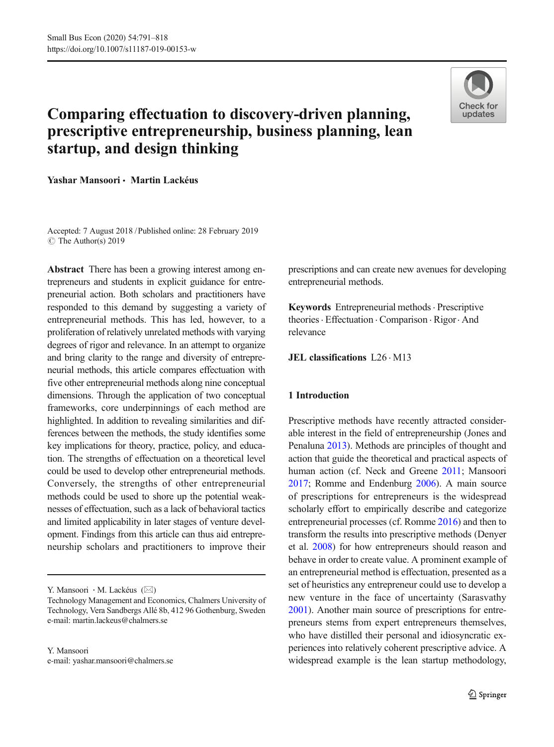

# Comparing effectuation to discovery-driven planning, prescriptive entrepreneurship, business planning, lean startup, and design thinking

Yashar Mansoori • Martin Lackéus

Accepted: 7 August 2018 /Published online: 28 February 2019  $\circ$  The Author(s) 2019

Abstract There has been a growing interest among entrepreneurs and students in explicit guidance for entrepreneurial action. Both scholars and practitioners have responded to this demand by suggesting a variety of entrepreneurial methods. This has led, however, to a proliferation of relatively unrelated methods with varying degrees of rigor and relevance. In an attempt to organize and bring clarity to the range and diversity of entrepreneurial methods, this article compares effectuation with five other entrepreneurial methods along nine conceptual dimensions. Through the application of two conceptual frameworks, core underpinnings of each method are highlighted. In addition to revealing similarities and differences between the methods, the study identifies some key implications for theory, practice, policy, and education. The strengths of effectuation on a theoretical level could be used to develop other entrepreneurial methods. Conversely, the strengths of other entrepreneurial methods could be used to shore up the potential weaknesses of effectuation, such as a lack of behavioral tactics and limited applicability in later stages of venture development. Findings from this article can thus aid entrepreneurship scholars and practitioners to improve their

Y. Mansoori · M. Lackéus ( $\boxtimes$ )

Y. Mansoori e-mail: yashar.mansoori@chalmers.se prescriptions and can create new avenues for developing entrepreneurial methods.

Keywords Entrepreneurial methods · Prescriptive theories. Effectuation . Comparison . Rigor. And relevance

JEL classifications L26 . M13

#### 1 Introduction

Prescriptive methods have recently attracted considerable interest in the field of entrepreneurship (Jones and Penaluna [2013\)](#page-25-0). Methods are principles of thought and action that guide the theoretical and practical aspects of human action (cf. Neck and Greene [2011;](#page-26-0) Mansoori [2017](#page-25-0); Romme and Endenburg [2006\)](#page-26-0). A main source of prescriptions for entrepreneurs is the widespread scholarly effort to empirically describe and categorize entrepreneurial processes (cf. Romme [2016](#page-26-0)) and then to transform the results into prescriptive methods (Denyer et al. [2008](#page-24-0)) for how entrepreneurs should reason and behave in order to create value. A prominent example of an entrepreneurial method is effectuation, presented as a set of heuristics any entrepreneur could use to develop a new venture in the face of uncertainty (Sarasvathy [2001](#page-26-0)). Another main source of prescriptions for entrepreneurs stems from expert entrepreneurs themselves, who have distilled their personal and idiosyncratic experiences into relatively coherent prescriptive advice. A widespread example is the lean startup methodology,

Technology Management and Economics, Chalmers University of Technology, Vera Sandbergs Allé 8b, 412 96 Gothenburg, Sweden e-mail: martin.lackeus@chalmers.se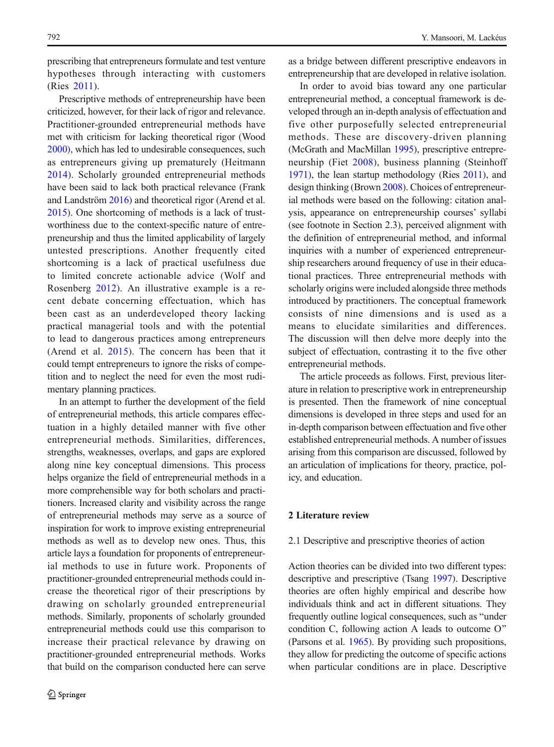prescribing that entrepreneurs formulate and test venture hypotheses through interacting with customers (Ries [2011\)](#page-26-0).

Prescriptive methods of entrepreneurship have been criticized, however, for their lack of rigor and relevance. Practitioner-grounded entrepreneurial methods have met with criticism for lacking theoretical rigor (Wood [2000](#page-27-0)), which has led to undesirable consequences, such as entrepreneurs giving up prematurely (Heitmann [2014](#page-25-0)). Scholarly grounded entrepreneurial methods have been said to lack both practical relevance (Frank and Landström [2016](#page-24-0)) and theoretical rigor (Arend et al. [2015](#page-23-0)). One shortcoming of methods is a lack of trustworthiness due to the context-specific nature of entrepreneurship and thus the limited applicability of largely untested prescriptions. Another frequently cited shortcoming is a lack of practical usefulness due to limited concrete actionable advice (Wolf and Rosenberg [2012](#page-27-0)). An illustrative example is a recent debate concerning effectuation, which has been cast as an underdeveloped theory lacking practical managerial tools and with the potential to lead to dangerous practices among entrepreneurs (Arend et al. [2015\)](#page-23-0). The concern has been that it could tempt entrepreneurs to ignore the risks of competition and to neglect the need for even the most rudimentary planning practices.

In an attempt to further the development of the field of entrepreneurial methods, this article compares effectuation in a highly detailed manner with five other entrepreneurial methods. Similarities, differences, strengths, weaknesses, overlaps, and gaps are explored along nine key conceptual dimensions. This process helps organize the field of entrepreneurial methods in a more comprehensible way for both scholars and practitioners. Increased clarity and visibility across the range of entrepreneurial methods may serve as a source of inspiration for work to improve existing entrepreneurial methods as well as to develop new ones. Thus, this article lays a foundation for proponents of entrepreneurial methods to use in future work. Proponents of practitioner-grounded entrepreneurial methods could increase the theoretical rigor of their prescriptions by drawing on scholarly grounded entrepreneurial methods. Similarly, proponents of scholarly grounded entrepreneurial methods could use this comparison to increase their practical relevance by drawing on practitioner-grounded entrepreneurial methods. Works that build on the comparison conducted here can serve

as a bridge between different prescriptive endeavors in entrepreneurship that are developed in relative isolation.

In order to avoid bias toward any one particular entrepreneurial method, a conceptual framework is developed through an in-depth analysis of effectuation and five other purposefully selected entrepreneurial methods. These are discovery-driven planning (McGrath and MacMillan [1995\)](#page-25-0), prescriptive entrepreneurship (Fiet [2008\)](#page-24-0), business planning (Steinhoff [1971](#page-26-0)), the lean startup methodology (Ries [2011\)](#page-26-0), and design thinking (Brown [2008\)](#page-24-0). Choices of entrepreneurial methods were based on the following: citation analysis, appearance on entrepreneurship courses' syllabi (see footnote in Section 2.3), perceived alignment with the definition of entrepreneurial method, and informal inquiries with a number of experienced entrepreneurship researchers around frequency of use in their educational practices. Three entrepreneurial methods with scholarly origins were included alongside three methods introduced by practitioners. The conceptual framework consists of nine dimensions and is used as a means to elucidate similarities and differences. The discussion will then delve more deeply into the subject of effectuation, contrasting it to the five other entrepreneurial methods.

The article proceeds as follows. First, previous literature in relation to prescriptive work in entrepreneurship is presented. Then the framework of nine conceptual dimensions is developed in three steps and used for an in-depth comparison between effectuation and five other established entrepreneurial methods. A number of issues arising from this comparison are discussed, followed by an articulation of implications for theory, practice, policy, and education.

# 2 Literature review

#### 2.1 Descriptive and prescriptive theories of action

Action theories can be divided into two different types: descriptive and prescriptive (Tsang [1997\)](#page-26-0). Descriptive theories are often highly empirical and describe how individuals think and act in different situations. They frequently outline logical consequences, such as "under condition C, following action A leads to outcome O^ (Parsons et al. [1965\)](#page-26-0). By providing such propositions, they allow for predicting the outcome of specific actions when particular conditions are in place. Descriptive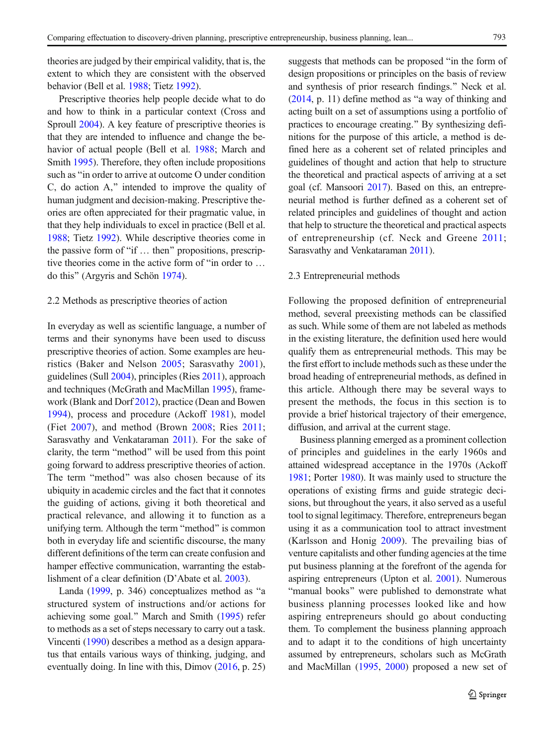theories are judged by their empirical validity, that is, the extent to which they are consistent with the observed behavior (Bell et al. [1988](#page-23-0); Tietz [1992](#page-26-0)).

Prescriptive theories help people decide what to do and how to think in a particular context (Cross and Sproull [2004\)](#page-24-0). A key feature of prescriptive theories is that they are intended to influence and change the behavior of actual people (Bell et al. [1988;](#page-23-0) March and Smith [1995\)](#page-25-0). Therefore, they often include propositions such as "in order to arrive at outcome O under condition C, do action A,^ intended to improve the quality of human judgment and decision-making. Prescriptive theories are often appreciated for their pragmatic value, in that they help individuals to excel in practice (Bell et al. [1988](#page-23-0); Tietz [1992\)](#page-26-0). While descriptive theories come in the passive form of "if  $\ldots$  then" propositions, prescriptive theories come in the active form of "in order to  $\dots$ do this^ (Argyris and Schön [1974](#page-23-0)).

#### 2.2 Methods as prescriptive theories of action

In everyday as well as scientific language, a number of terms and their synonyms have been used to discuss prescriptive theories of action. Some examples are heuristics (Baker and Nelson [2005;](#page-23-0) Sarasvathy [2001](#page-26-0)), guidelines (Sull [2004](#page-26-0)), principles (Ries [2011\)](#page-26-0), approach and techniques (McGrath and MacMillan [1995\)](#page-25-0), framework (Blank and Dorf [2012\)](#page-23-0), practice (Dean and Bowen [1994\)](#page-24-0), process and procedure (Ackoff [1981\)](#page-23-0), model (Fiet [2007](#page-24-0)), and method (Brown [2008;](#page-24-0) Ries [2011](#page-26-0); Sarasvathy and Venkataraman [2011\)](#page-26-0). For the sake of clarity, the term "method" will be used from this point going forward to address prescriptive theories of action. The term "method" was also chosen because of its ubiquity in academic circles and the fact that it connotes the guiding of actions, giving it both theoretical and practical relevance, and allowing it to function as a unifying term. Although the term "method" is common both in everyday life and scientific discourse, the many different definitions of the term can create confusion and hamper effective communication, warranting the establishment of a clear definition (D'Abate et al. [2003\)](#page-24-0).

Landa  $(1999, p. 346)$  $(1999, p. 346)$  conceptualizes method as "a structured system of instructions and/or actions for achieving some goal.^ March and Smith ([1995](#page-25-0)) refer to methods as a set of steps necessary to carry out a task. Vincenti [\(1990\)](#page-26-0) describes a method as a design apparatus that entails various ways of thinking, judging, and eventually doing. In line with this, Dimov [\(2016,](#page-24-0) p. 25) suggests that methods can be proposed "in the form of design propositions or principles on the basis of review and synthesis of prior research findings.^ Neck et al.  $(2014, p. 11)$  $(2014, p. 11)$  define method as "a way of thinking and acting built on a set of assumptions using a portfolio of practices to encourage creating.^ By synthesizing definitions for the purpose of this article, a method is defined here as a coherent set of related principles and guidelines of thought and action that help to structure the theoretical and practical aspects of arriving at a set goal (cf. Mansoori [2017](#page-25-0)). Based on this, an entrepreneurial method is further defined as a coherent set of related principles and guidelines of thought and action that help to structure the theoretical and practical aspects of entrepreneurship (cf. Neck and Greene [2011;](#page-26-0) Sarasvathy and Venkataraman [2011](#page-26-0)).

#### 2.3 Entrepreneurial methods

Following the proposed definition of entrepreneurial method, several preexisting methods can be classified as such. While some of them are not labeled as methods in the existing literature, the definition used here would qualify them as entrepreneurial methods. This may be the first effort to include methods such as these under the broad heading of entrepreneurial methods, as defined in this article. Although there may be several ways to present the methods, the focus in this section is to provide a brief historical trajectory of their emergence, diffusion, and arrival at the current stage.

Business planning emerged as a prominent collection of principles and guidelines in the early 1960s and attained widespread acceptance in the 1970s (Ackoff [1981](#page-23-0); Porter [1980\)](#page-26-0). It was mainly used to structure the operations of existing firms and guide strategic decisions, but throughout the years, it also served as a useful tool to signal legitimacy. Therefore, entrepreneurs began using it as a communication tool to attract investment (Karlsson and Honig [2009\)](#page-25-0). The prevailing bias of venture capitalists and other funding agencies at the time put business planning at the forefront of the agenda for aspiring entrepreneurs (Upton et al. [2001](#page-26-0)). Numerous "manual books" were published to demonstrate what business planning processes looked like and how aspiring entrepreneurs should go about conducting them. To complement the business planning approach and to adapt it to the conditions of high uncertainty assumed by entrepreneurs, scholars such as McGrath and MacMillan [\(1995,](#page-25-0) [2000](#page-25-0)) proposed a new set of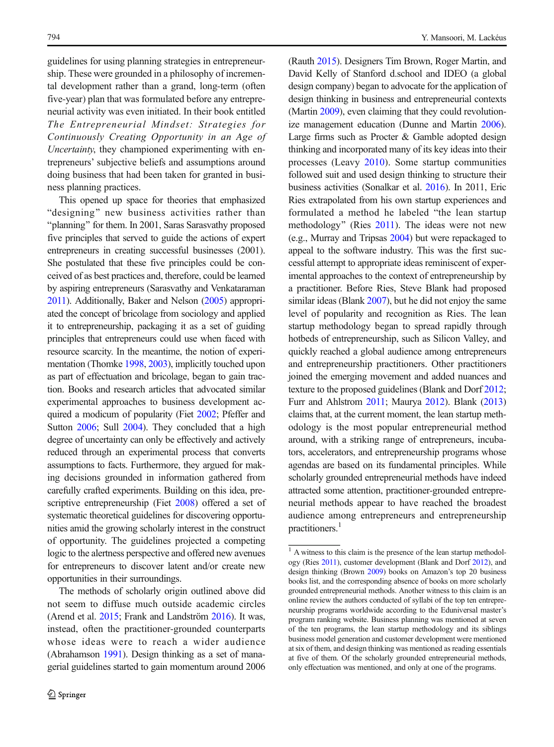guidelines for using planning strategies in entrepreneurship. These were grounded in a philosophy of incremental development rather than a grand, long-term (often five-year) plan that was formulated before any entrepreneurial activity was even initiated. In their book entitled The Entrepreneurial Mindset: Strategies for Continuously Creating Opportunity in an Age of Uncertainty, they championed experimenting with entrepreneurs' subjective beliefs and assumptions around doing business that had been taken for granted in business planning practices.

This opened up space for theories that emphasized "designing" new business activities rather than "planning" for them. In 2001, Saras Sarasvathy proposed five principles that served to guide the actions of expert entrepreneurs in creating successful businesses (2001). She postulated that these five principles could be conceived of as best practices and, therefore, could be learned by aspiring entrepreneurs (Sarasvathy and Venkataraman [2011](#page-26-0)). Additionally, Baker and Nelson [\(2005](#page-23-0)) appropriated the concept of bricolage from sociology and applied it to entrepreneurship, packaging it as a set of guiding principles that entrepreneurs could use when faced with resource scarcity. In the meantime, the notion of experimentation (Thomke [1998](#page-26-0), [2003\)](#page-26-0), implicitly touched upon as part of effectuation and bricolage, began to gain traction. Books and research articles that advocated similar experimental approaches to business development ac-quired a modicum of popularity (Fiet [2002;](#page-24-0) Pfeffer and Sutton [2006](#page-26-0); Sull [2004\)](#page-26-0). They concluded that a high degree of uncertainty can only be effectively and actively reduced through an experimental process that converts assumptions to facts. Furthermore, they argued for making decisions grounded in information gathered from carefully crafted experiments. Building on this idea, prescriptive entrepreneurship (Fiet [2008](#page-24-0)) offered a set of systematic theoretical guidelines for discovering opportunities amid the growing scholarly interest in the construct of opportunity. The guidelines projected a competing logic to the alertness perspective and offered new avenues for entrepreneurs to discover latent and/or create new opportunities in their surroundings.

The methods of scholarly origin outlined above did not seem to diffuse much outside academic circles (Arend et al. [2015](#page-23-0); Frank and Landström [2016](#page-24-0)). It was, instead, often the practitioner-grounded counterparts whose ideas were to reach a wider audience (Abrahamson [1991](#page-23-0)). Design thinking as a set of managerial guidelines started to gain momentum around 2006 (Rauth [2015](#page-26-0)). Designers Tim Brown, Roger Martin, and David Kelly of Stanford d.school and IDEO (a global design company) began to advocate for the application of design thinking in business and entrepreneurial contexts (Martin [2009](#page-25-0)), even claiming that they could revolutionize management education (Dunne and Martin [2006\)](#page-24-0). Large firms such as Procter & Gamble adopted design thinking and incorporated many of its key ideas into their processes (Leavy [2010](#page-25-0)). Some startup communities followed suit and used design thinking to structure their business activities (Sonalkar et al. [2016\)](#page-26-0). In 2011, Eric Ries extrapolated from his own startup experiences and formulated a method he labeled "the lean startup" methodology" (Ries [2011](#page-26-0)). The ideas were not new (e.g., Murray and Tripsas [2004](#page-25-0)) but were repackaged to appeal to the software industry. This was the first successful attempt to appropriate ideas reminiscent of experimental approaches to the context of entrepreneurship by a practitioner. Before Ries, Steve Blank had proposed similar ideas (Blank [2007\)](#page-23-0), but he did not enjoy the same level of popularity and recognition as Ries. The lean startup methodology began to spread rapidly through hotbeds of entrepreneurship, such as Silicon Valley, and quickly reached a global audience among entrepreneurs and entrepreneurship practitioners. Other practitioners joined the emerging movement and added nuances and texture to the proposed guidelines (Blank and Dorf [2012;](#page-23-0) Furr and Ahlstrom [2011;](#page-24-0) Maurya [2012](#page-25-0)). Blank [\(2013](#page-23-0)) claims that, at the current moment, the lean startup methodology is the most popular entrepreneurial method around, with a striking range of entrepreneurs, incubators, accelerators, and entrepreneurship programs whose agendas are based on its fundamental principles. While scholarly grounded entrepreneurial methods have indeed attracted some attention, practitioner-grounded entrepreneurial methods appear to have reached the broadest audience among entrepreneurs and entrepreneurship practitioners.<sup>1</sup>

<sup>&</sup>lt;sup>1</sup> A witness to this claim is the presence of the lean startup methodology (Ries [2011\)](#page-26-0), customer development (Blank and Dorf [2012](#page-23-0)), and design thinking (Brown [2009\)](#page-24-0) books on Amazon's top 20 business books list, and the corresponding absence of books on more scholarly grounded entrepreneurial methods. Another witness to this claim is an online review the authors conducted of syllabi of the top ten entrepreneurship programs worldwide according to the Eduniversal master's program ranking website. Business planning was mentioned at seven of the ten programs, the lean startup methodology and its siblings business model generation and customer development were mentioned at six of them, and design thinking was mentioned as reading essentials at five of them. Of the scholarly grounded entrepreneurial methods, only effectuation was mentioned, and only at one of the programs.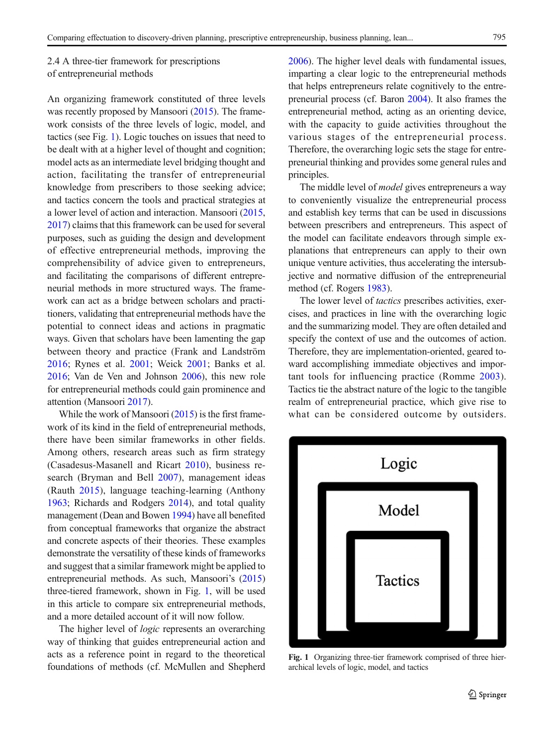<span id="page-4-0"></span>2.4 A three-tier framework for prescriptions of entrepreneurial methods

An organizing framework constituted of three levels was recently proposed by Mansoori [\(2015\)](#page-25-0). The framework consists of the three levels of logic, model, and tactics (see Fig. 1). Logic touches on issues that need to be dealt with at a higher level of thought and cognition; model acts as an intermediate level bridging thought and action, facilitating the transfer of entrepreneurial knowledge from prescribers to those seeking advice; and tactics concern the tools and practical strategies at a lower level of action and interaction. Mansoori [\(2015,](#page-25-0) [2017](#page-25-0)) claims that this framework can be used for several purposes, such as guiding the design and development of effective entrepreneurial methods, improving the comprehensibility of advice given to entrepreneurs, and facilitating the comparisons of different entrepreneurial methods in more structured ways. The framework can act as a bridge between scholars and practitioners, validating that entrepreneurial methods have the potential to connect ideas and actions in pragmatic ways. Given that scholars have been lamenting the gap between theory and practice (Frank and Landström [2016;](#page-24-0) Rynes et al. [2001](#page-26-0); Weick [2001;](#page-27-0) Banks et al. [2016](#page-23-0); Van de Ven and Johnson [2006](#page-26-0)), this new role for entrepreneurial methods could gain prominence and attention (Mansoori [2017\)](#page-25-0).

While the work of Mansoori [\(2015\)](#page-25-0) is the first framework of its kind in the field of entrepreneurial methods, there have been similar frameworks in other fields. Among others, research areas such as firm strategy (Casadesus-Masanell and Ricart [2010](#page-24-0)), business research (Bryman and Bell [2007](#page-24-0)), management ideas (Rauth [2015\)](#page-26-0), language teaching-learning (Anthony [1963](#page-23-0); Richards and Rodgers [2014](#page-26-0)), and total quality management (Dean and Bowen [1994](#page-24-0)) have all benefited from conceptual frameworks that organize the abstract and concrete aspects of their theories. These examples demonstrate the versatility of these kinds of frameworks and suggest that a similar framework might be applied to entrepreneurial methods. As such, Mansoori's [\(2015\)](#page-25-0) three-tiered framework, shown in Fig. 1, will be used in this article to compare six entrepreneurial methods, and a more detailed account of it will now follow.

The higher level of *logic* represents an overarching way of thinking that guides entrepreneurial action and acts as a reference point in regard to the theoretical foundations of methods (cf. McMullen and Shepherd [2006](#page-25-0)). The higher level deals with fundamental issues, imparting a clear logic to the entrepreneurial methods that helps entrepreneurs relate cognitively to the entrepreneurial process (cf. Baron [2004](#page-23-0)). It also frames the entrepreneurial method, acting as an orienting device, with the capacity to guide activities throughout the various stages of the entrepreneurial process. Therefore, the overarching logic sets the stage for entrepreneurial thinking and provides some general rules and principles.

The middle level of *model* gives entrepreneurs a way to conveniently visualize the entrepreneurial process and establish key terms that can be used in discussions between prescribers and entrepreneurs. This aspect of the model can facilitate endeavors through simple explanations that entrepreneurs can apply to their own unique venture activities, thus accelerating the intersubjective and normative diffusion of the entrepreneurial method (cf. Rogers [1983](#page-26-0)).

The lower level of *tactics* prescribes activities, exercises, and practices in line with the overarching logic and the summarizing model. They are often detailed and specify the context of use and the outcomes of action. Therefore, they are implementation-oriented, geared toward accomplishing immediate objectives and important tools for influencing practice (Romme [2003](#page-26-0)). Tactics tie the abstract nature of the logic to the tangible realm of entrepreneurial practice, which give rise to what can be considered outcome by outsiders.



Fig. 1 Organizing three-tier framework comprised of three hierarchical levels of logic, model, and tactics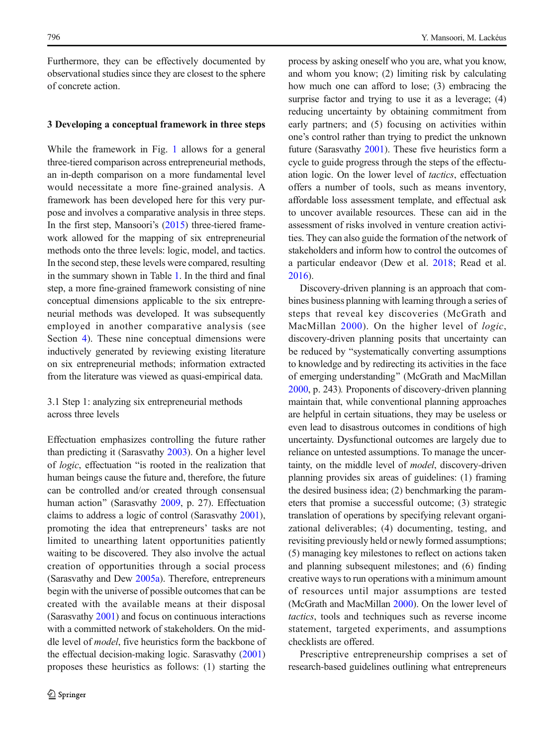Furthermore, they can be effectively documented by observational studies since they are closest to the sphere of concrete action.

#### 3 Developing a conceptual framework in three steps

While the framework in Fig. [1](#page-4-0) allows for a general three-tiered comparison across entrepreneurial methods, an in-depth comparison on a more fundamental level would necessitate a more fine-grained analysis. A framework has been developed here for this very purpose and involves a comparative analysis in three steps. In the first step, Mansoori's [\(2015\)](#page-25-0) three-tiered framework allowed for the mapping of six entrepreneurial methods onto the three levels: logic, model, and tactics. In the second step, these levels were compared, resulting in the summary shown in Table [1](#page-6-0). In the third and final step, a more fine-grained framework consisting of nine conceptual dimensions applicable to the six entrepreneurial methods was developed. It was subsequently employed in another comparative analysis (see Section [4](#page-9-0)). These nine conceptual dimensions were inductively generated by reviewing existing literature on six entrepreneurial methods; information extracted from the literature was viewed as quasi-empirical data.

# 3.1 Step 1: analyzing six entrepreneurial methods across three levels

Effectuation emphasizes controlling the future rather than predicting it (Sarasvathy [2003\)](#page-26-0). On a higher level of *logic*, effectuation "is rooted in the realization that human beings cause the future and, therefore, the future can be controlled and/or created through consensual human action" (Sarasvathy [2009](#page-26-0), p. 27). Effectuation claims to address a logic of control (Sarasvathy [2001\)](#page-26-0), promoting the idea that entrepreneurs' tasks are not limited to unearthing latent opportunities patiently waiting to be discovered. They also involve the actual creation of opportunities through a social process (Sarasvathy and Dew [2005a\)](#page-26-0). Therefore, entrepreneurs begin with the universe of possible outcomes that can be created with the available means at their disposal (Sarasvathy [2001](#page-26-0)) and focus on continuous interactions with a committed network of stakeholders. On the middle level of model, five heuristics form the backbone of the effectual decision-making logic. Sarasvathy [\(2001\)](#page-26-0) proposes these heuristics as follows: (1) starting the

process by asking oneself who you are, what you know, and whom you know; (2) limiting risk by calculating how much one can afford to lose; (3) embracing the surprise factor and trying to use it as a leverage; (4) reducing uncertainty by obtaining commitment from early partners; and (5) focusing on activities within one's control rather than trying to predict the unknown future (Sarasvathy [2001\)](#page-26-0). These five heuristics form a cycle to guide progress through the steps of the effectuation logic. On the lower level of tactics, effectuation offers a number of tools, such as means inventory, affordable loss assessment template, and effectual ask to uncover available resources. These can aid in the assessment of risks involved in venture creation activities. They can also guide the formation of the network of stakeholders and inform how to control the outcomes of a particular endeavor (Dew et al. [2018;](#page-24-0) Read et al. [2016](#page-26-0)).

Discovery-driven planning is an approach that combines business planning with learning through a series of steps that reveal key discoveries (McGrath and MacMillan [2000](#page-25-0)). On the higher level of *logic*, discovery-driven planning posits that uncertainty can be reduced by "systematically converting assumptions to knowledge and by redirecting its activities in the face of emerging understanding" (McGrath and MacMillan [2000](#page-25-0), p. 243). Proponents of discovery-driven planning maintain that, while conventional planning approaches are helpful in certain situations, they may be useless or even lead to disastrous outcomes in conditions of high uncertainty. Dysfunctional outcomes are largely due to reliance on untested assumptions. To manage the uncertainty, on the middle level of model, discovery-driven planning provides six areas of guidelines: (1) framing the desired business idea; (2) benchmarking the parameters that promise a successful outcome; (3) strategic translation of operations by specifying relevant organizational deliverables; (4) documenting, testing, and revisiting previously held or newly formed assumptions; (5) managing key milestones to reflect on actions taken and planning subsequent milestones; and (6) finding creative ways to run operations with a minimum amount of resources until major assumptions are tested (McGrath and MacMillan [2000](#page-25-0)). On the lower level of tactics, tools and techniques such as reverse income statement, targeted experiments, and assumptions checklists are offered.

Prescriptive entrepreneurship comprises a set of research-based guidelines outlining what entrepreneurs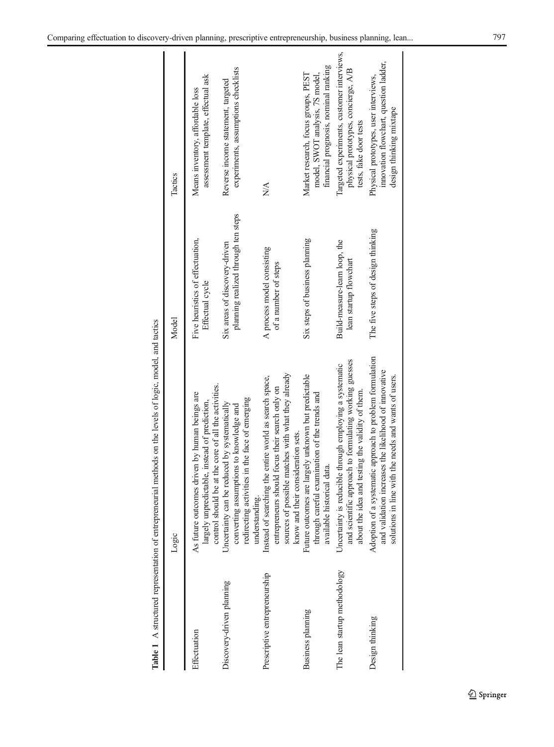<span id="page-6-0"></span>

|                               | <b>Table 1</b> A structured representation of entrepreneurial methods on the levels of logic, model, and tactics                                                                                      |                                                                      |                                                                                                                |
|-------------------------------|-------------------------------------------------------------------------------------------------------------------------------------------------------------------------------------------------------|----------------------------------------------------------------------|----------------------------------------------------------------------------------------------------------------|
|                               | Logic                                                                                                                                                                                                 | Model                                                                | Tactics                                                                                                        |
| Effectuation                  | largely unpredictable, instead of prediction,<br>control should be at the core of all the activities.<br>As future outcomes driven by human beings are                                                | Five heuristics of effectuation,<br>Effectual cycle                  | assessment template, effectual ask<br>Means inventory, affordable loss                                         |
| Discovery-driven planning     | redirecting activities in the face of emerging<br>Uncertainty can be reduced by systematically<br>converting assumptions to knowledge and<br>understanding                                            | planning realized through ten steps<br>Six areas of discovery-driven | experiments, assumptions checklists<br>Reverse income statement, targeted                                      |
| Prescriptive entrepreneurship | sources of possible matches with what they already<br>Instead of searching the entire world as search space,<br>entrepreneurs should focus their search only on<br>know and their consideration sets. | A process model consisting<br>of a number of steps                   | NA                                                                                                             |
| Business planning             | Future outcomes are largely unknown but predictable<br>through careful examination of the trends and<br>available historical data.                                                                    | Six steps of business planning                                       | financial prognosis, nominal ranking<br>Market research, focus groups, PEST<br>model, SWOT analysis, 7S model, |
| The lean startup methodology  | and scientific approach to formulating working guesses<br>Uncertainty is reducible through employing a systematic<br>about the idea and testing the validity of them.                                 | Build-measure-learn loop, the<br>lean startup flowchart              | Targeted experiments, customer interviews,<br>physical prototypes, concierge, A/B<br>tests, fake door tests    |
| Design thinking               | Adoption of a systematic approach to problem formulation<br>and validation increases the likelihood of innovative<br>line with the needs and wants of users.<br>solutions in                          | The five steps of design thinking                                    | innovation flowchart, question ladder,<br>Physical prototypes, user interviews,<br>design thinking mixtape     |

Table 1 A structured representation of entrepreneurial methods on the levels of logic, model, and tactics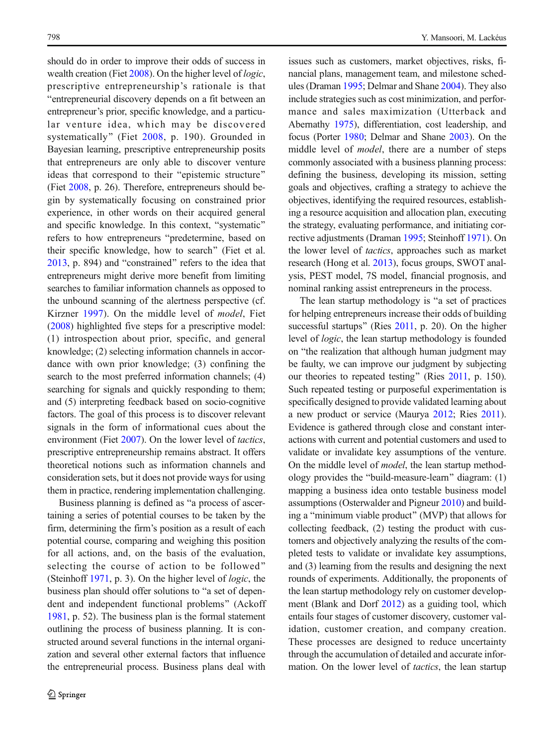should do in order to improve their odds of success in wealth creation (Fiet [2008](#page-24-0)). On the higher level of *logic*, prescriptive entrepreneurship's rationale is that "entrepreneurial discovery depends on a fit between an entrepreneur's prior, specific knowledge, and a particular venture idea, which may be discovered systematically" (Fiet [2008,](#page-24-0) p. 190). Grounded in Bayesian learning, prescriptive entrepreneurship posits that entrepreneurs are only able to discover venture ideas that correspond to their "epistemic structure" (Fiet [2008](#page-24-0), p. 26). Therefore, entrepreneurs should begin by systematically focusing on constrained prior experience, in other words on their acquired general and specific knowledge. In this context, "systematic" refers to how entrepreneurs "predetermine, based on their specific knowledge, how to search^ (Fiet et al.  $2013$ , p. 894) and "constrained" refers to the idea that entrepreneurs might derive more benefit from limiting searches to familiar information channels as opposed to the unbound scanning of the alertness perspective (cf. Kirzner [1997](#page-25-0)). On the middle level of model, Fiet ([2008](#page-24-0)) highlighted five steps for a prescriptive model: (1) introspection about prior, specific, and general knowledge; (2) selecting information channels in accordance with own prior knowledge; (3) confining the search to the most preferred information channels; (4) searching for signals and quickly responding to them; and (5) interpreting feedback based on socio-cognitive factors. The goal of this process is to discover relevant signals in the form of informational cues about the environment (Fiet [2007](#page-24-0)). On the lower level of *tactics*, prescriptive entrepreneurship remains abstract. It offers theoretical notions such as information channels and consideration sets, but it does not provide ways for using them in practice, rendering implementation challenging.

Business planning is defined as "a process of ascertaining a series of potential courses to be taken by the firm, determining the firm's position as a result of each potential course, comparing and weighing this position for all actions, and, on the basis of the evaluation, selecting the course of action to be followed^ (Steinhoff [1971](#page-26-0), p. 3). On the higher level of logic, the business plan should offer solutions to "a set of dependent and independent functional problems^ (Ackoff [1981](#page-23-0), p. 52). The business plan is the formal statement outlining the process of business planning. It is constructed around several functions in the internal organization and several other external factors that influence the entrepreneurial process. Business plans deal with

issues such as customers, market objectives, risks, financial plans, management team, and milestone schedules (Draman [1995](#page-24-0); Delmar and Shane [2004](#page-24-0)). They also include strategies such as cost minimization, and performance and sales maximization (Utterback and Abernathy [1975\)](#page-26-0), differentiation, cost leadership, and focus (Porter [1980](#page-26-0); Delmar and Shane [2003](#page-24-0)). On the middle level of model, there are a number of steps commonly associated with a business planning process: defining the business, developing its mission, setting goals and objectives, crafting a strategy to achieve the objectives, identifying the required resources, establishing a resource acquisition and allocation plan, executing the strategy, evaluating performance, and initiating corrective adjustments (Draman [1995;](#page-24-0) Steinhoff [1971](#page-26-0)). On the lower level of tactics, approaches such as market research (Hong et al. [2013](#page-25-0)), focus groups, SWOT analysis, PEST model, 7S model, financial prognosis, and nominal ranking assist entrepreneurs in the process.

The lean startup methodology is "a set of practices" for helping entrepreneurs increase their odds of building successful startups" (Ries [2011](#page-26-0), p. 20). On the higher level of logic, the lean startup methodology is founded on "the realization that although human judgment may be faulty, we can improve our judgment by subjecting our theories to repeated testing" (Ries [2011](#page-26-0), p. 150). Such repeated testing or purposeful experimentation is specifically designed to provide validated learning about a new product or service (Maurya [2012](#page-25-0); Ries [2011\)](#page-26-0). Evidence is gathered through close and constant interactions with current and potential customers and used to validate or invalidate key assumptions of the venture. On the middle level of model, the lean startup methodology provides the "build-measure-learn" diagram:  $(1)$ mapping a business idea onto testable business model assumptions (Osterwalder and Pigneur [2010\)](#page-26-0) and building a "minimum viable product" (MVP) that allows for collecting feedback, (2) testing the product with customers and objectively analyzing the results of the completed tests to validate or invalidate key assumptions, and (3) learning from the results and designing the next rounds of experiments. Additionally, the proponents of the lean startup methodology rely on customer development (Blank and Dorf [2012](#page-23-0)) as a guiding tool, which entails four stages of customer discovery, customer validation, customer creation, and company creation. These processes are designed to reduce uncertainty through the accumulation of detailed and accurate information. On the lower level of *tactics*, the lean startup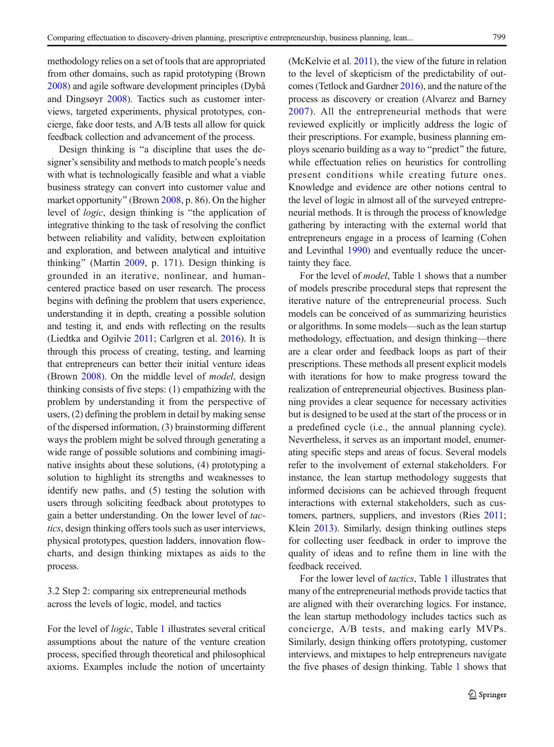methodology relies on a set of tools that are appropriated from other domains, such as rapid prototyping (Brown [2008](#page-24-0)) and agile software development principles (Dybå and Dingsøyr [2008\)](#page-24-0). Tactics such as customer interviews, targeted experiments, physical prototypes, concierge, fake door tests, and A/B tests all allow for quick feedback collection and advancement of the process.

Design thinking is "a discipline that uses the designer's sensibility and methods to match people's needs with what is technologically feasible and what a viable business strategy can convert into customer value and market opportunity" (Brown  $2008$ , p. 86). On the higher level of logic, design thinking is "the application of integrative thinking to the task of resolving the conflict between reliability and validity, between exploitation and exploration, and between analytical and intuitive thinking" (Martin  $2009$ , p. 171). Design thinking is grounded in an iterative, nonlinear, and humancentered practice based on user research. The process begins with defining the problem that users experience, understanding it in depth, creating a possible solution and testing it, and ends with reflecting on the results (Liedtka and Ogilvie [2011;](#page-25-0) Carlgren et al. [2016\)](#page-24-0). It is through this process of creating, testing, and learning that entrepreneurs can better their initial venture ideas (Brown [2008](#page-24-0)). On the middle level of *model*, design thinking consists of five steps: (1) empathizing with the problem by understanding it from the perspective of users, (2) defining the problem in detail by making sense of the dispersed information, (3) brainstorming different ways the problem might be solved through generating a wide range of possible solutions and combining imaginative insights about these solutions, (4) prototyping a solution to highlight its strengths and weaknesses to identify new paths, and (5) testing the solution with users through soliciting feedback about prototypes to gain a better understanding. On the lower level of tactics, design thinking offers tools such as user interviews, physical prototypes, question ladders, innovation flowcharts, and design thinking mixtapes as aids to the process.

3.2 Step 2: comparing six entrepreneurial methods across the levels of logic, model, and tactics

For the level of logic, Table [1](#page-6-0) illustrates several critical assumptions about the nature of the venture creation process, specified through theoretical and philosophical axioms. Examples include the notion of uncertainty (McKelvie et al. [2011\)](#page-25-0), the view of the future in relation to the level of skepticism of the predictability of outcomes (Tetlock and Gardner [2016\)](#page-26-0), and the nature of the process as discovery or creation (Alvarez and Barney [2007\)](#page-23-0). All the entrepreneurial methods that were reviewed explicitly or implicitly address the logic of their prescriptions. For example, business planning employs scenario building as a way to "predict" the future, while effectuation relies on heuristics for controlling present conditions while creating future ones. Knowledge and evidence are other notions central to the level of logic in almost all of the surveyed entrepreneurial methods. It is through the process of knowledge gathering by interacting with the external world that entrepreneurs engage in a process of learning (Cohen and Levinthal [1990\)](#page-24-0) and eventually reduce the uncertainty they face.

For the level of model, Table [1](#page-6-0) shows that a number of models prescribe procedural steps that represent the iterative nature of the entrepreneurial process. Such models can be conceived of as summarizing heuristics or algorithms. In some models—such as the lean startup methodology, effectuation, and design thinking—there are a clear order and feedback loops as part of their prescriptions. These methods all present explicit models with iterations for how to make progress toward the realization of entrepreneurial objectives. Business planning provides a clear sequence for necessary activities but is designed to be used at the start of the process or in a predefined cycle (i.e., the annual planning cycle). Nevertheless, it serves as an important model, enumerating specific steps and areas of focus. Several models refer to the involvement of external stakeholders. For instance, the lean startup methodology suggests that informed decisions can be achieved through frequent interactions with external stakeholders, such as customers, partners, suppliers, and investors (Ries [2011;](#page-26-0) Klein [2013\)](#page-25-0). Similarly, design thinking outlines steps for collecting user feedback in order to improve the quality of ideas and to refine them in line with the feedback received.

For the lower level of tactics, Table [1](#page-6-0) illustrates that many of the entrepreneurial methods provide tactics that are aligned with their overarching logics. For instance, the lean startup methodology includes tactics such as concierge, A/B tests, and making early MVPs. Similarly, design thinking offers prototyping, customer interviews, and mixtapes to help entrepreneurs navigate the five phases of design thinking. Table [1](#page-6-0) shows that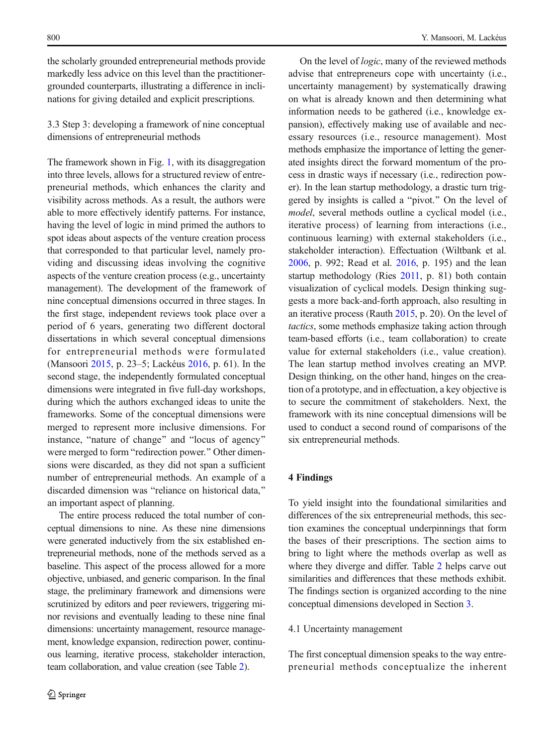<span id="page-9-0"></span>the scholarly grounded entrepreneurial methods provide markedly less advice on this level than the practitionergrounded counterparts, illustrating a difference in inclinations for giving detailed and explicit prescriptions.

3.3 Step 3: developing a framework of nine conceptual dimensions of entrepreneurial methods

The framework shown in Fig. [1,](#page-4-0) with its disaggregation into three levels, allows for a structured review of entrepreneurial methods, which enhances the clarity and visibility across methods. As a result, the authors were able to more effectively identify patterns. For instance, having the level of logic in mind primed the authors to spot ideas about aspects of the venture creation process that corresponded to that particular level, namely providing and discussing ideas involving the cognitive aspects of the venture creation process (e.g., uncertainty management). The development of the framework of nine conceptual dimensions occurred in three stages. In the first stage, independent reviews took place over a period of 6 years, generating two different doctoral dissertations in which several conceptual dimensions for entrepreneurial methods were formulated (Mansoori [2015,](#page-25-0) p. 23–5; Lackéus [2016](#page-25-0), p. 61). In the second stage, the independently formulated conceptual dimensions were integrated in five full-day workshops, during which the authors exchanged ideas to unite the frameworks. Some of the conceptual dimensions were merged to represent more inclusive dimensions. For instance, "nature of change" and "locus of agency" were merged to form "redirection power." Other dimensions were discarded, as they did not span a sufficient number of entrepreneurial methods. An example of a discarded dimension was "reliance on historical data," an important aspect of planning.

The entire process reduced the total number of conceptual dimensions to nine. As these nine dimensions were generated inductively from the six established entrepreneurial methods, none of the methods served as a baseline. This aspect of the process allowed for a more objective, unbiased, and generic comparison. In the final stage, the preliminary framework and dimensions were scrutinized by editors and peer reviewers, triggering minor revisions and eventually leading to these nine final dimensions: uncertainty management, resource management, knowledge expansion, redirection power, continuous learning, iterative process, stakeholder interaction, team collaboration, and value creation (see Table [2](#page-10-0)).

On the level of logic, many of the reviewed methods advise that entrepreneurs cope with uncertainty (i.e., uncertainty management) by systematically drawing on what is already known and then determining what information needs to be gathered (i.e., knowledge expansion), effectively making use of available and necessary resources (i.e., resource management). Most methods emphasize the importance of letting the generated insights direct the forward momentum of the process in drastic ways if necessary (i.e., redirection power). In the lean startup methodology, a drastic turn triggered by insights is called a "pivot." On the level of model, several methods outline a cyclical model (i.e., iterative process) of learning from interactions (i.e., continuous learning) with external stakeholders (i.e., stakeholder interaction). Effectuation (Wiltbank et al. [2006](#page-27-0), p. 992; Read et al. [2016,](#page-26-0) p. 195) and the lean startup methodology (Ries [2011,](#page-26-0) p. 81) both contain visualization of cyclical models. Design thinking suggests a more back-and-forth approach, also resulting in an iterative process (Rauth [2015](#page-26-0), p. 20). On the level of tactics, some methods emphasize taking action through team-based efforts (i.e., team collaboration) to create value for external stakeholders (i.e., value creation). The lean startup method involves creating an MVP. Design thinking, on the other hand, hinges on the creation of a prototype, and in effectuation, a key objective is to secure the commitment of stakeholders. Next, the framework with its nine conceptual dimensions will be used to conduct a second round of comparisons of the six entrepreneurial methods.

#### 4 Findings

To yield insight into the foundational similarities and differences of the six entrepreneurial methods, this section examines the conceptual underpinnings that form the bases of their prescriptions. The section aims to bring to light where the methods overlap as well as where they diverge and differ. Table [2](#page-10-0) helps carve out similarities and differences that these methods exhibit. The findings section is organized according to the nine conceptual dimensions developed in Section 3.

#### 4.1 Uncertainty management

The first conceptual dimension speaks to the way entrepreneurial methods conceptualize the inherent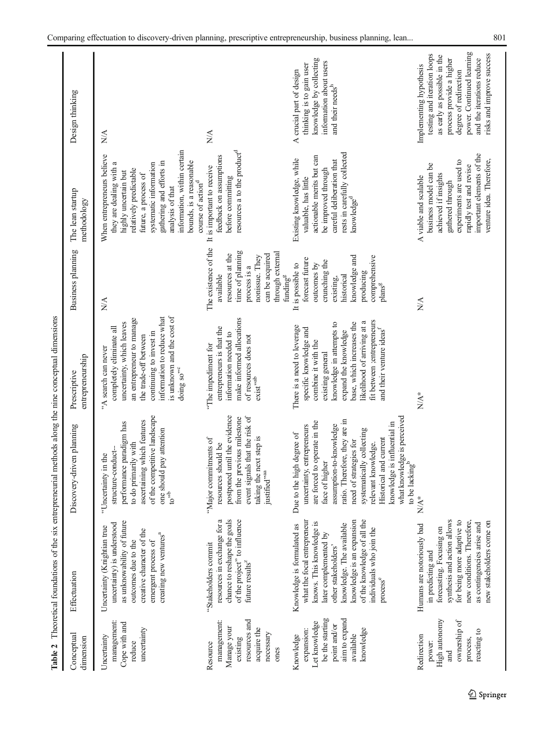|                                                                                                                        |                                                                                                                                                                                                                                                                                   | Table 2 Theoretical foundations of the six entrepreneurial methods along the nine conceptual dimensions                                                                                                                                                                                                                                                                         |                                                                                                                                                                                                                                                                                         |                                                                                                                                                                            |                                                                                                                                                                                                                                                                                                      |                                                                                                                                                                                                                                   |
|------------------------------------------------------------------------------------------------------------------------|-----------------------------------------------------------------------------------------------------------------------------------------------------------------------------------------------------------------------------------------------------------------------------------|---------------------------------------------------------------------------------------------------------------------------------------------------------------------------------------------------------------------------------------------------------------------------------------------------------------------------------------------------------------------------------|-----------------------------------------------------------------------------------------------------------------------------------------------------------------------------------------------------------------------------------------------------------------------------------------|----------------------------------------------------------------------------------------------------------------------------------------------------------------------------|------------------------------------------------------------------------------------------------------------------------------------------------------------------------------------------------------------------------------------------------------------------------------------------------------|-----------------------------------------------------------------------------------------------------------------------------------------------------------------------------------------------------------------------------------|
| Conceptual<br>dimension                                                                                                | Effectuation                                                                                                                                                                                                                                                                      | Discovery-driven planning                                                                                                                                                                                                                                                                                                                                                       | entrepreneurship<br>Prescriptive                                                                                                                                                                                                                                                        | Business planning                                                                                                                                                          | The lean startup<br>methodology                                                                                                                                                                                                                                                                      | Design thinking                                                                                                                                                                                                                   |
| management<br>Cope with and<br>uncertainty<br>Uncertainty<br>reduce                                                    | as unknowability of future<br>uncertainty) is understood<br>Uncertainty (Knightian true<br>creative character of the<br>creating new ventures <sup>a</sup><br>emergent process of<br>outcomes due to the                                                                          | of the competitive landscape<br>ascertaining which features<br>performance paradigm has<br>one should pay attention<br>to do primarily with<br>structure-conduct-<br>"Uncertainty in the<br>$\omega^{ab}$                                                                                                                                                                       | is unknown and the cost of<br>information to reduce what<br>an entrepreneur to manage<br>uncertainty, which leaves<br>completely eliminate all<br>continuing to invest in<br>the trade-off between<br>"A search can never<br>doing so <sup>39</sup>                                     | $N\!A$                                                                                                                                                                     | information, within certain<br>When entrepreneurs believe<br>bounds, is a reasonable<br>gathering and efforts in<br>they are dealing with a<br>systematic information<br>relatively predictable<br>highly uncertain but<br>future, a process of<br>course of action <sup>d</sup><br>analysis of that | N/A                                                                                                                                                                                                                               |
| resources and<br>management:<br>Manage your<br>acquire the<br>necessary<br>existing<br>Resource<br>ones                | chance to reshape the goals<br>resources in exchange for a<br>of the project" to influence<br>"Stakeholders commit<br>future results <sup><math>z</math></sup>                                                                                                                    | postponed until the evidence<br>event signals that the risk of<br>from the previous milestone<br>taking the next step is<br>'Major commitments of<br>resources should be<br>justified"a                                                                                                                                                                                         | make informed allocations<br>entrepreneurs is that the<br>information needed to<br>of resources does not<br>"The impediment for<br>$\mathsf{exist}^{\mathsf{v}\text{-}\mathsf{ab}}$                                                                                                     | The existence of the<br>time of planning<br>through external<br>resources at the<br>can be acquired<br>nonissue. They<br>process is a<br>funding <sup>g</sup><br>available | resources a to the product <sup>d</sup><br>feedback on assumptions<br>It is important to receive<br>before committing                                                                                                                                                                                | $\sum_{i=1}^{n}$                                                                                                                                                                                                                  |
| be the starting<br>aim to expand<br>Let knowledge<br>point and/or<br>knowledge<br>expansion:<br>available<br>Knowledge | knowledge is an expansion<br>of the knowledge of all the<br>what the focal entrepreneur<br>knows. This knowledge is<br>knowledge. The available<br>Knowledge is formulated as<br>individuals who join the<br>later complemented by<br>other stakeholders'<br>process <sup>e</sup> | what knowledge is perceived<br>ratio. Therefore, they are in<br>are forced to operate in the<br>mowledge is influential in<br>assumption-to-knowledge<br>uncertainty, entrepreneurs<br>systematically collecting<br>Due to the high degree of<br><b>Historical</b> and current<br>need of strategies for<br>relevant knowledge.<br>face of higher<br>to be lacking <sup>b</sup> | fit between ; entrepreneurs<br>likelihood of arriving at a<br>base, which increases the<br>knowledge in attempts to<br>There is a need to leverage<br>and their venture ideas <sup>f</sup><br>specific knowledge and<br>expand the knowledge<br>combine it with the<br>existing general | knowledge and<br>comprehensive<br>forecast future<br>crunching the<br>outcomes by<br>It is possible to<br>producing<br>historical<br>existing,<br>plans <sup>g</sup>       | rests in carefully collected<br>actionable merits but can<br>Existing knowledge, while<br>careful deliberation that<br>be improved through<br>valuable, has little<br>knowledge <sup>d</sup>                                                                                                         | knowledge by collecting<br>information about users<br>thinking is to gain user<br>A crucial part of design<br>and their needs <sup>h</sup>                                                                                        |
| High autonomy<br>ownership of<br>reacting to<br>Redirection<br>process,<br>power:<br>and                               | synthesis and action allows<br>for being more adaptive to<br>new conditions. Therefore,<br>new stakeholders come on<br>as contingencies arise and<br>Humans are notoriously bad<br>forecasting. Focusing on<br>in predicting and                                                  | $\ast$<br>$\frac{1}{2}$                                                                                                                                                                                                                                                                                                                                                         | $N/A^*$                                                                                                                                                                                                                                                                                 | $\sum_{i=1}^{n}$                                                                                                                                                           | important elements of the<br>venture idea. Therefore,<br>experiments are used to<br>business model can be<br>rapidly test and revise<br>achieved if insights<br>A viable and scalable<br>gathered through                                                                                            | power. Continued learning<br>risks and improve success<br>testing and iteration loops<br>as early as possible in the<br>and the iterations reduce<br>process provide a higher<br>Implementing hypothesis<br>degree of redirection |

<span id="page-10-0"></span>Comparing effectuation to discovery-driven planning, prescriptive entrepreneurship, business planning, lean... 801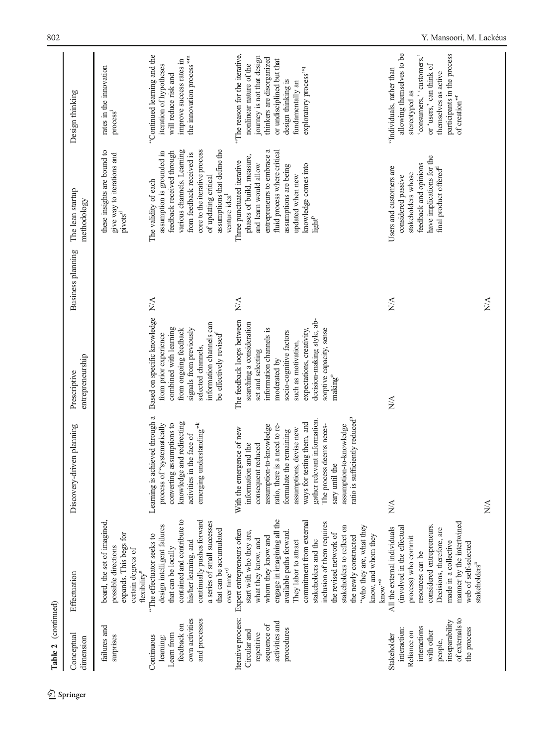| Conceptual<br>dimension                                                                                                                 | Effectuation                                                                                                                                                                                                                                                                                                                                                                                                                                         | Discovery-driven planning                                                                                                                                                                                                                                                                                                                                                                                                      | entrepreneurship<br>Prescriptive                                                                                                                                                                                                                                                        | Business planning               | The lean startup<br>methodology                                                                                                                                                                                                                                | Design thinking                                                                                                                                                                                                                  |
|-----------------------------------------------------------------------------------------------------------------------------------------|------------------------------------------------------------------------------------------------------------------------------------------------------------------------------------------------------------------------------------------------------------------------------------------------------------------------------------------------------------------------------------------------------------------------------------------------------|--------------------------------------------------------------------------------------------------------------------------------------------------------------------------------------------------------------------------------------------------------------------------------------------------------------------------------------------------------------------------------------------------------------------------------|-----------------------------------------------------------------------------------------------------------------------------------------------------------------------------------------------------------------------------------------------------------------------------------------|---------------------------------|----------------------------------------------------------------------------------------------------------------------------------------------------------------------------------------------------------------------------------------------------------------|----------------------------------------------------------------------------------------------------------------------------------------------------------------------------------------------------------------------------------|
| failures and<br>surprises                                                                                                               | board, the set of imagined,<br>expands. This begs for<br>possible directions<br>certain degrees of<br>flexibility <sup>a</sup>                                                                                                                                                                                                                                                                                                                       |                                                                                                                                                                                                                                                                                                                                                                                                                                |                                                                                                                                                                                                                                                                                         |                                 | these insights are bound to<br>give way to iterations and<br>pivots <sup>d</sup>                                                                                                                                                                               | rates in the innovation<br>process <sup>1</sup>                                                                                                                                                                                  |
| own activities<br>and processes<br>feedback on<br>Leam from<br>Continuous<br>learning:                                                  | contained and contribute to<br>continually pushes forward<br>a series of small successes<br>design intelligent failures<br>that can be accumulated<br>"The effectuator seeks to<br>his/her learning, and<br>that can be locally<br>over time $\boldsymbol{r}^{\boldsymbol{n}^{\boldsymbol{j}}}$                                                                                                                                                      | Learning is achieved through a<br>knowledge and redirecting<br>emerging understanding"*<br>process of "systematically<br>converting assumptions to<br>activities in the face of                                                                                                                                                                                                                                                | Based on specific knowledge<br>information channels can<br>combined with learning<br>from ongoing feedback<br>signals from previously<br>be effectively revised <sup>1</sup><br>from prior experience<br>selected channels,                                                             | ΧÁ                              | various channels. Learning<br>core to the iterative process<br>assumptions that define the<br>feedback received through<br>assumption is grounded in<br>from feedback received is<br>of updating critical<br>The validity of each<br>venture idea <sup>1</sup> | "Continued learning and the<br>the innovation process" <sup>m</sup><br>improve success rates in<br>iteration of hypotheses<br>will reduce risk and                                                                               |
| Iterative process:<br>activities and<br>sequence of<br>procedures<br>Circular and<br>repetitive                                         | engage in imagining all the<br>commitment from external<br>inclusion of them requires<br>stakeholders to reflect on<br>"who they are, what they<br>Expert entrepreneurs often<br>available paths forward.<br>start with who they are,<br>the revised network of<br>know, and whom they<br>the newly constructed<br>whom they know and<br>what they know, and<br>stakeholders and the<br>They labor to attract<br>$\mbox{kmow}^{\mbox{\tiny\rm rec}}$ | ratio is sufficiently reduced <sup>n</sup><br>$\frac{1}{2}$ and gather relevant information.<br>The processes $\frac{1}{2}$<br>ways for testing them, and<br>ratio, there is a need to re-<br>assumption-to-knowledge<br>assumption-to-knowledge<br>The process deems neces-<br>assumptions, devise new<br>With the emergence of new<br>formulate the remaining<br>information and the<br>consequent reduced<br>sary until the | decision-making style, ab-<br>The feedback loops between<br>searching a consideration<br>information channels is<br>sorptive capacity, sense<br>expectations, creativity,<br>socio-cognitive factors<br>such as motivation,<br>set and selecting<br>moderated by<br>making <sup>o</sup> | $\stackrel{\triangle}{\approx}$ | a<br>fluid process where critical<br>entrepreneurs to embrace<br>phases of build, measure,<br>Three punctuated iterative<br>knowledge comes into<br>and learn would allow<br>assumptions are being<br>updated when new<br>$\mathrm{light}^{\mathrm{P}}$        | "The reason for the iterative,<br>journey is not that design<br>thinkers are disorganized<br>or undisciplined but that<br>nonlinear nature of the<br>exploratory process" <sup>q</sup><br>design thinking is<br>fundamentally an |
| of externals to<br>inseparability<br>interactions<br>the process<br>interaction:<br>with other<br>Reliance on<br>Stakeholder<br>people, | manner by the intertwined<br>(involved in the effectual<br>considered entrepreneurs.<br>All the external individuals<br>Decisions, therefore, are<br>process) who commit<br>made in a collective<br>web of self-selected<br>resources can be<br>stakeholders <sup>a</sup>                                                                                                                                                                            | $\sum_{i=1}^{n}$<br>ΝÁ                                                                                                                                                                                                                                                                                                                                                                                                         | $\mathbb{N}$                                                                                                                                                                                                                                                                            | NA<br>$\frac{1}{2}$             | have implications for the<br>feedback and opinions<br>Users and customers are<br>final product offered <sup>d</sup><br>stakeholders whose<br>considered passive                                                                                                | allowing themselves to be<br>participants in the process<br>'consumers,' 'customers,'<br>or 'users,' can think of<br>"Individuals, rather than<br>themselves as active<br>stereotyped as<br>of creation"                         |

Table 2 (continued) Table 2 (continued)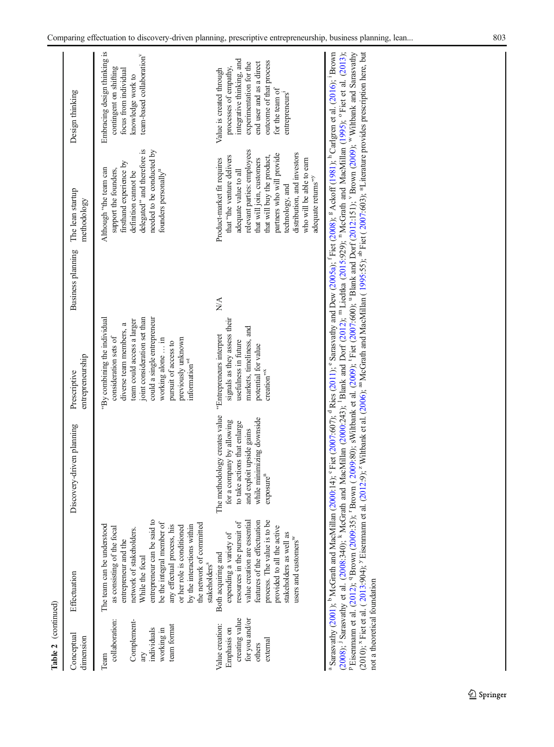| Conceptual<br>dimension                                                                  | Effectuation                                                                                                                                                                                                                                                                                                      | Discovery-driven planning                                                                                                                                                    | entrepreneurship<br>Prescriptive                                                                                                                                                                                                                                               | Business planning The lean startup | methodology                                                                                                                                                                                                                                                                                                               | Design thinking                                                                                                                                                                                       |
|------------------------------------------------------------------------------------------|-------------------------------------------------------------------------------------------------------------------------------------------------------------------------------------------------------------------------------------------------------------------------------------------------------------------|------------------------------------------------------------------------------------------------------------------------------------------------------------------------------|--------------------------------------------------------------------------------------------------------------------------------------------------------------------------------------------------------------------------------------------------------------------------------|------------------------------------|---------------------------------------------------------------------------------------------------------------------------------------------------------------------------------------------------------------------------------------------------------------------------------------------------------------------------|-------------------------------------------------------------------------------------------------------------------------------------------------------------------------------------------------------|
| collaboration:<br>Complement-<br>team format<br>individuals<br>working in<br>Team        | entrepreneur can be said to<br>be the integral member of<br>the network of committed<br>The team can be understood<br>any effectual process, his<br>by the interactions within<br>or her role is conditioned<br>as consisting of the focal<br>network of stakeholders.<br>entrepreneur and the<br>While the focal |                                                                                                                                                                              | joint consideration set than<br>could a single entrepreneur<br>"By combining the individual<br>team could access a larger<br>diverse team members, a<br>consideration sets of<br>previously unknown<br>working alone  in<br>pursuit of access to<br>information <sup>75t</sup> |                                    | delegated" and therefore is<br>needed to be conducted by<br>firsthand experience by<br>support the founders,<br>Although "the team can<br>founders personally <sup>u</sup><br>definition cannot be                                                                                                                        | Embracing design thinking is<br>team-based collaboration<br>contingent on shifting<br>focus from individual<br>knowledge work to                                                                      |
| creating value<br>for you and/or<br>Value creation:<br>Emphasis on<br>external<br>others | value creation are essential<br>features of the effectuation<br>process. The value is to be<br>resources in the pursuit of<br>provided to all the active<br>stakeholders as well as<br>expending a variety of<br>users and customers <sup>w</sup><br>Both acquiring and<br>stakeholders <sup>s</sup>              | The methodology creates value<br>while minimizing downside<br>for a company by allowing<br>to take actions that enlarge<br>and exploit upside gains<br>exposure <sup>n</sup> | signals as they assess their<br>markets, timeliness, and<br>"Entrepreneurs interpret<br>usefulness in future<br>potential for value<br>$c$ reation $n^{\nu x}$                                                                                                                 | $\stackrel{\triangle}{\approx}$    | relevant parties: employees<br>distribution, and investors<br>partners who will provide<br>that "the venture delivers<br>that will buy the product,<br>who will be able to earn<br>Product-market fit requires<br>that will join, customers<br>adequate value to all<br>adequate returns" <sup>"</sup><br>technology, and | integrative thinking, and<br>outcome of that process<br>experimentation for the<br>end user and as a direct<br>processes of empathy,<br>Value is created through<br>for the team of<br>entrepreneurs' |

<sup>a</sup> Sarasvathy (2001); <sup>b</sup> McGrath and MacMillan (2000:14); <sup>6</sup> Fiet (2007:607); "Res (2011); Suesvary, comparing (2005); "McGrath and MacMillan (1995); res variance,<br>(2008); <sup>1</sup> Sarasvathy et al. (2008:340); <sup>6</sup> McGrath [\(2008\)](#page-24-0); <sup>j</sup> Sarasvathy et al. [\(2008](#page-26-0):340); <sup>k</sup> McGrath and MacMillan ([2000](#page-25-0):243); <sup>1</sup> Blank and Dorf ([2012](#page-23-0)); <sup>m</sup> Liedtka [\(2015](#page-25-0):929); <sup>n</sup> McGrath and MacMillan ([1995](#page-25-0)); ° Fiet et al. [\(2013\)](#page-24-0); Pisemmam et al. [\(2012](#page-24-0)); <sup>9</sup> Brown ( (2010); <sup>x</sup> Fiet et al. ([2013](#page-24-0):904); <sup>2</sup> Eisenmann et al. [\(2012](#page-24-0):9); <sup>2</sup> Wiltbank et al. ([2006](#page-27-0)); <sup>an</sup> McGrath and MacMillan ( [1995](#page-25-0):55); <sup>ab</sup> Fiet ( [2007](#page-24-0):603); \*Literature provides prescription here, but not a theoretical foundation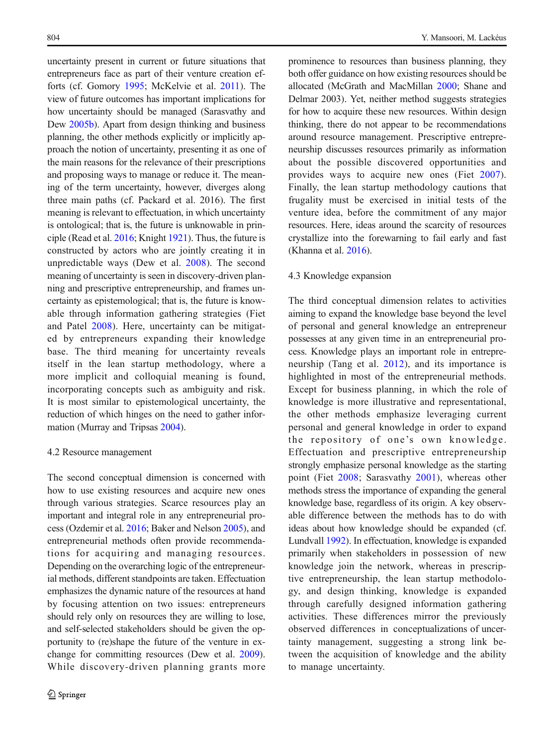uncertainty present in current or future situations that entrepreneurs face as part of their venture creation efforts (cf. Gomory [1995;](#page-24-0) McKelvie et al. [2011](#page-25-0)). The view of future outcomes has important implications for how uncertainty should be managed (Sarasvathy and Dew [2005b\)](#page-26-0). Apart from design thinking and business planning, the other methods explicitly or implicitly approach the notion of uncertainty, presenting it as one of the main reasons for the relevance of their prescriptions and proposing ways to manage or reduce it. The meaning of the term uncertainty, however, diverges along three main paths (cf. Packard et al. 2016). The first meaning is relevant to effectuation, in which uncertainty is ontological; that is, the future is unknowable in principle (Read et al. [2016](#page-26-0); Knight [1921\)](#page-25-0). Thus, the future is constructed by actors who are jointly creating it in unpredictable ways (Dew et al. [2008\)](#page-24-0). The second meaning of uncertainty is seen in discovery-driven planning and prescriptive entrepreneurship, and frames uncertainty as epistemological; that is, the future is knowable through information gathering strategies (Fiet and Patel [2008\)](#page-24-0). Here, uncertainty can be mitigated by entrepreneurs expanding their knowledge base. The third meaning for uncertainty reveals itself in the lean startup methodology, where a more implicit and colloquial meaning is found, incorporating concepts such as ambiguity and risk. It is most similar to epistemological uncertainty, the reduction of which hinges on the need to gather information (Murray and Tripsas [2004](#page-25-0)).

#### 4.2 Resource management

The second conceptual dimension is concerned with how to use existing resources and acquire new ones through various strategies. Scarce resources play an important and integral role in any entrepreneurial process (Ozdemir et al. [2016](#page-26-0); Baker and Nelson [2005](#page-23-0)), and entrepreneurial methods often provide recommendations for acquiring and managing resources. Depending on the overarching logic of the entrepreneurial methods, different standpoints are taken. Effectuation emphasizes the dynamic nature of the resources at hand by focusing attention on two issues: entrepreneurs should rely only on resources they are willing to lose, and self-selected stakeholders should be given the opportunity to (re)shape the future of the venture in exchange for committing resources (Dew et al. [2009](#page-24-0)). While discovery-driven planning grants more

prominence to resources than business planning, they both offer guidance on how existing resources should be allocated (McGrath and MacMillan [2000](#page-25-0); Shane and Delmar 2003). Yet, neither method suggests strategies for how to acquire these new resources. Within design thinking, there do not appear to be recommendations around resource management. Prescriptive entrepreneurship discusses resources primarily as information about the possible discovered opportunities and provides ways to acquire new ones (Fiet [2007](#page-24-0)). Finally, the lean startup methodology cautions that frugality must be exercised in initial tests of the venture idea, before the commitment of any major resources. Here, ideas around the scarcity of resources crystallize into the forewarning to fail early and fast (Khanna et al. [2016](#page-25-0)).

#### 4.3 Knowledge expansion

The third conceptual dimension relates to activities aiming to expand the knowledge base beyond the level of personal and general knowledge an entrepreneur possesses at any given time in an entrepreneurial process. Knowledge plays an important role in entrepreneurship (Tang et al. [2012\)](#page-26-0), and its importance is highlighted in most of the entrepreneurial methods. Except for business planning, in which the role of knowledge is more illustrative and representational, the other methods emphasize leveraging current personal and general knowledge in order to expand the repository of one's own knowledge. Effectuation and prescriptive entrepreneurship strongly emphasize personal knowledge as the starting point (Fiet [2008;](#page-24-0) Sarasvathy [2001](#page-26-0)), whereas other methods stress the importance of expanding the general knowledge base, regardless of its origin. A key observable difference between the methods has to do with ideas about how knowledge should be expanded (cf. Lundvall [1992\)](#page-25-0). In effectuation, knowledge is expanded primarily when stakeholders in possession of new knowledge join the network, whereas in prescriptive entrepreneurship, the lean startup methodology, and design thinking, knowledge is expanded through carefully designed information gathering activities. These differences mirror the previously observed differences in conceptualizations of uncertainty management, suggesting a strong link between the acquisition of knowledge and the ability to manage uncertainty.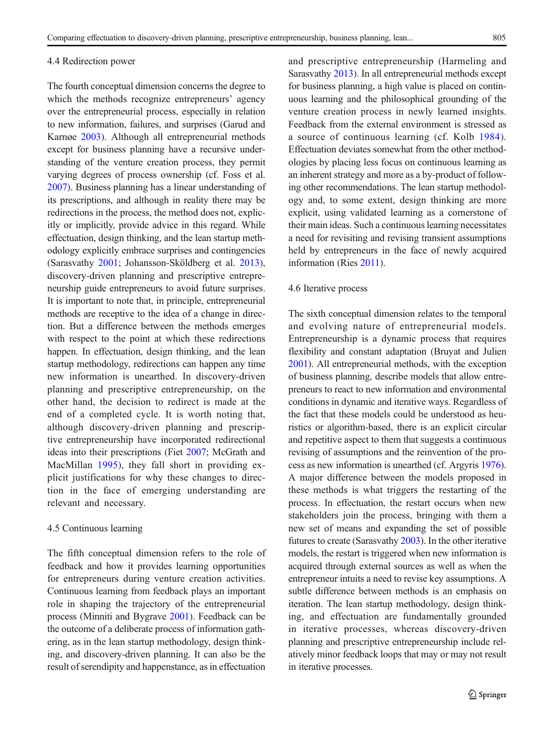#### 4.4 Redirection power

The fourth conceptual dimension concerns the degree to which the methods recognize entrepreneurs' agency over the entrepreneurial process, especially in relation to new information, failures, and surprises (Garud and Karnøe [2003\)](#page-24-0). Although all entrepreneurial methods except for business planning have a recursive understanding of the venture creation process, they permit varying degrees of process ownership (cf. Foss et al. [2007](#page-24-0)). Business planning has a linear understanding of its prescriptions, and although in reality there may be redirections in the process, the method does not, explicitly or implicitly, provide advice in this regard. While effectuation, design thinking, and the lean startup methodology explicitly embrace surprises and contingencies (Sarasvathy [2001;](#page-26-0) Johansson-Sköldberg et al. [2013\)](#page-25-0), discovery-driven planning and prescriptive entrepreneurship guide entrepreneurs to avoid future surprises. It is important to note that, in principle, entrepreneurial methods are receptive to the idea of a change in direction. But a difference between the methods emerges with respect to the point at which these redirections happen. In effectuation, design thinking, and the lean startup methodology, redirections can happen any time new information is unearthed. In discovery-driven planning and prescriptive entrepreneurship, on the other hand, the decision to redirect is made at the end of a completed cycle. It is worth noting that, although discovery-driven planning and prescriptive entrepreneurship have incorporated redirectional ideas into their prescriptions (Fiet [2007;](#page-24-0) McGrath and MacMillan [1995\)](#page-25-0), they fall short in providing explicit justifications for why these changes to direction in the face of emerging understanding are relevant and necessary.

#### 4.5 Continuous learning

The fifth conceptual dimension refers to the role of feedback and how it provides learning opportunities for entrepreneurs during venture creation activities. Continuous learning from feedback plays an important role in shaping the trajectory of the entrepreneurial process (Minniti and Bygrave [2001](#page-25-0)). Feedback can be the outcome of a deliberate process of information gathering, as in the lean startup methodology, design thinking, and discovery-driven planning. It can also be the result of serendipity and happenstance, as in effectuation

Sarasvathy [2013](#page-25-0)). In all entrepreneurial methods except for business planning, a high value is placed on continuous learning and the philosophical grounding of the venture creation process in newly learned insights. Feedback from the external environment is stressed as a source of continuous learning (cf. Kolb [1984](#page-25-0)). Effectuation deviates somewhat from the other methodologies by placing less focus on continuous learning as an inherent strategy and more as a by-product of following other recommendations. The lean startup methodology and, to some extent, design thinking are more explicit, using validated learning as a cornerstone of their main ideas. Such a continuous learning necessitates a need for revisiting and revising transient assumptions held by entrepreneurs in the face of newly acquired information (Ries [2011](#page-26-0)).

and prescriptive entrepreneurship (Harmeling and

#### 4.6 Iterative process

The sixth conceptual dimension relates to the temporal and evolving nature of entrepreneurial models. Entrepreneurship is a dynamic process that requires flexibility and constant adaptation (Bruyat and Julien [2001](#page-24-0)). All entrepreneurial methods, with the exception of business planning, describe models that allow entrepreneurs to react to new information and environmental conditions in dynamic and iterative ways. Regardless of the fact that these models could be understood as heuristics or algorithm-based, there is an explicit circular and repetitive aspect to them that suggests a continuous revising of assumptions and the reinvention of the process as new information is unearthed (cf. Argyris [1976\)](#page-23-0). A major difference between the models proposed in these methods is what triggers the restarting of the process. In effectuation, the restart occurs when new stakeholders join the process, bringing with them a new set of means and expanding the set of possible futures to create (Sarasvathy [2003](#page-26-0)). In the other iterative models, the restart is triggered when new information is acquired through external sources as well as when the entrepreneur intuits a need to revise key assumptions. A subtle difference between methods is an emphasis on iteration. The lean startup methodology, design thinking, and effectuation are fundamentally grounded in iterative processes, whereas discovery-driven planning and prescriptive entrepreneurship include relatively minor feedback loops that may or may not result in iterative processes.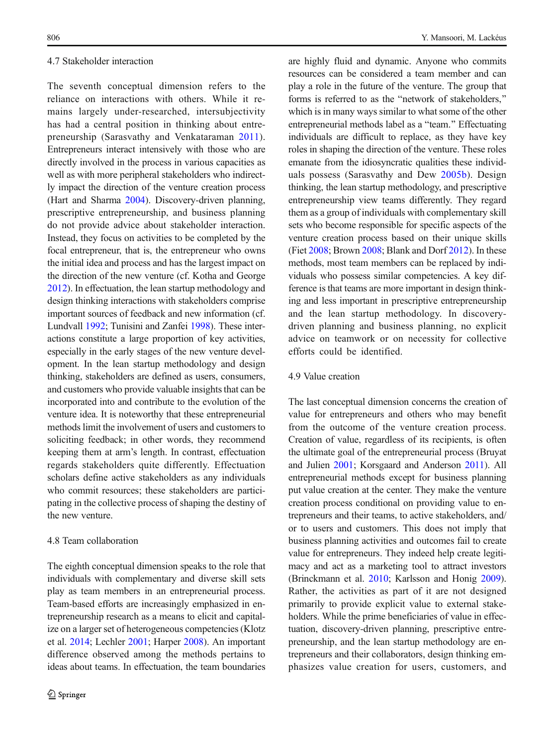#### 4.7 Stakeholder interaction

The seventh conceptual dimension refers to the reliance on interactions with others. While it remains largely under-researched, intersubjectivity has had a central position in thinking about entrepreneurship (Sarasvathy and Venkataraman [2011](#page-26-0)). Entrepreneurs interact intensively with those who are directly involved in the process in various capacities as well as with more peripheral stakeholders who indirectly impact the direction of the venture creation process (Hart and Sharma [2004](#page-25-0)). Discovery-driven planning, prescriptive entrepreneurship, and business planning do not provide advice about stakeholder interaction. Instead, they focus on activities to be completed by the focal entrepreneur, that is, the entrepreneur who owns the initial idea and process and has the largest impact on the direction of the new venture (cf. Kotha and George [2012](#page-25-0)). In effectuation, the lean startup methodology and design thinking interactions with stakeholders comprise important sources of feedback and new information (cf. Lundvall [1992;](#page-25-0) Tunisini and Zanfei [1998\)](#page-26-0). These interactions constitute a large proportion of key activities, especially in the early stages of the new venture development. In the lean startup methodology and design thinking, stakeholders are defined as users, consumers, and customers who provide valuable insights that can be incorporated into and contribute to the evolution of the venture idea. It is noteworthy that these entrepreneurial methods limit the involvement of users and customers to soliciting feedback; in other words, they recommend keeping them at arm's length. In contrast, effectuation regards stakeholders quite differently. Effectuation scholars define active stakeholders as any individuals who commit resources; these stakeholders are participating in the collective process of shaping the destiny of the new venture.

# 4.8 Team collaboration

The eighth conceptual dimension speaks to the role that individuals with complementary and diverse skill sets play as team members in an entrepreneurial process. Team-based efforts are increasingly emphasized in entrepreneurship research as a means to elicit and capitalize on a larger set of heterogeneous competencies (Klotz et al. [2014;](#page-25-0) Lechler [2001](#page-25-0); Harper [2008](#page-25-0)). An important difference observed among the methods pertains to ideas about teams. In effectuation, the team boundaries

are highly fluid and dynamic. Anyone who commits resources can be considered a team member and can play a role in the future of the venture. The group that forms is referred to as the "network of stakeholders," which is in many ways similar to what some of the other entrepreneurial methods label as a "team." Effectuating individuals are difficult to replace, as they have key roles in shaping the direction of the venture. These roles emanate from the idiosyncratic qualities these individuals possess (Sarasvathy and Dew [2005b](#page-26-0)). Design thinking, the lean startup methodology, and prescriptive entrepreneurship view teams differently. They regard them as a group of individuals with complementary skill sets who become responsible for specific aspects of the venture creation process based on their unique skills (Fiet [2008](#page-24-0); Brown [2008](#page-24-0); Blank and Dorf [2012\)](#page-23-0). In these methods, most team members can be replaced by individuals who possess similar competencies. A key difference is that teams are more important in design thinking and less important in prescriptive entrepreneurship and the lean startup methodology. In discoverydriven planning and business planning, no explicit advice on teamwork or on necessity for collective efforts could be identified.

# 4.9 Value creation

The last conceptual dimension concerns the creation of value for entrepreneurs and others who may benefit from the outcome of the venture creation process. Creation of value, regardless of its recipients, is often the ultimate goal of the entrepreneurial process (Bruyat and Julien [2001](#page-24-0); Korsgaard and Anderson [2011\)](#page-25-0). All entrepreneurial methods except for business planning put value creation at the center. They make the venture creation process conditional on providing value to entrepreneurs and their teams, to active stakeholders, and/ or to users and customers. This does not imply that business planning activities and outcomes fail to create value for entrepreneurs. They indeed help create legitimacy and act as a marketing tool to attract investors (Brinckmann et al. [2010;](#page-23-0) Karlsson and Honig [2009\)](#page-25-0). Rather, the activities as part of it are not designed primarily to provide explicit value to external stakeholders. While the prime beneficiaries of value in effectuation, discovery-driven planning, prescriptive entrepreneurship, and the lean startup methodology are entrepreneurs and their collaborators, design thinking emphasizes value creation for users, customers, and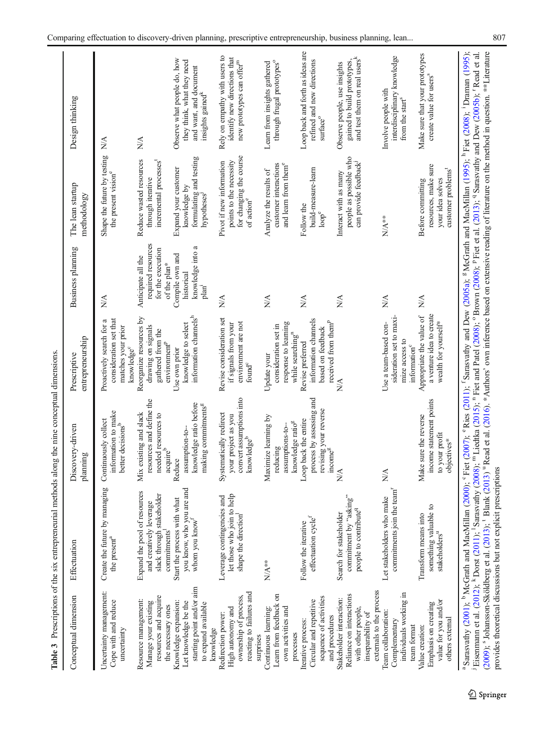<span id="page-16-0"></span>

|                                                                                                                             | Table 3 Prescriptions of the six entrepreneurial methods along the nine conceptual dimensions.                                                                                                                                                                                                                                             |                                                                                                      |                                                                                                    |                                                                               |                                                                                                          |                                                                                                                                                                                                                                                                                                                                                                                                                                                                                 |
|-----------------------------------------------------------------------------------------------------------------------------|--------------------------------------------------------------------------------------------------------------------------------------------------------------------------------------------------------------------------------------------------------------------------------------------------------------------------------------------|------------------------------------------------------------------------------------------------------|----------------------------------------------------------------------------------------------------|-------------------------------------------------------------------------------|----------------------------------------------------------------------------------------------------------|---------------------------------------------------------------------------------------------------------------------------------------------------------------------------------------------------------------------------------------------------------------------------------------------------------------------------------------------------------------------------------------------------------------------------------------------------------------------------------|
| Conceptual dimension                                                                                                        | Effectuation                                                                                                                                                                                                                                                                                                                               | Discovery-driven<br>planning                                                                         | entrepreneurship<br>Prescriptive                                                                   | Business planning                                                             | The lean startup<br>methodology                                                                          | Design thinking                                                                                                                                                                                                                                                                                                                                                                                                                                                                 |
| Uncertainty management:<br>Cope with and reduce<br>uncertainty                                                              | Create the future by managing<br>the present <sup>a</sup>                                                                                                                                                                                                                                                                                  | information to make<br>Continuously collect<br>better decisions <sup>b</sup>                         | Proactively search for a<br>consideration set that<br>matches your prior<br>knowledge <sup>c</sup> | $\lessapprox$                                                                 | Shape the future by testing<br>the present vision <sup>e</sup>                                           | NA                                                                                                                                                                                                                                                                                                                                                                                                                                                                              |
| resources and acquire<br>Resource management:<br>Manage your existing<br>the necessary ones                                 | Expand the pool of resources<br>slack through stakeholder<br>and creatively leverage<br>commitments <sup>1</sup>                                                                                                                                                                                                                           | resources and define the<br>Mix existing and slack<br>needed resources to<br>acquireb                | Reorganize resources by<br>drawing on signals<br>gathered from the<br>environment <sup>P</sup>     | required resources<br>for the execution<br>Anticipate all the<br>of the plan* | Reduce wasted resources<br>incremental processes <sup>t</sup><br>through iterative                       | $\frac{\triangleleft}{\triangle}$                                                                                                                                                                                                                                                                                                                                                                                                                                               |
| starting point and/or aim<br>Knowledge expansion:<br>Let knowledge be the<br>to expand available<br>knowledge               | you know, who you are and<br>Start the process with what<br>whom you know <sup>f</sup>                                                                                                                                                                                                                                                     | knowledge ratio before<br>making commitments <sup>g</sup><br>assumption-to-<br>Reduce                | information channels <sup>h</sup><br>knowledge to select<br>Use own prior                          | knowledge into a<br>Compile own and<br>historical<br>plan <sup>1</sup>        | formulating and testing<br>Expand your customer<br>knowledge by<br>hypotheses                            | Observe what people do, how<br>they think, what they need<br>and want, and document<br>insights gained <sup>k</sup>                                                                                                                                                                                                                                                                                                                                                             |
| reacting to failures and<br>ownership of process,<br>High autonomy and<br>Redirection power:                                | let those who join to help<br>Ā<br>Leverage contingencies are<br>shape the direction                                                                                                                                                                                                                                                       | convert assumptions into<br>Systematically redirect<br>your project as you<br>knowledge <sup>b</sup> | Revise consideration set<br>environment are not<br>if signals from your<br>found <sup>c</sup>      | NA                                                                            | for changing the course<br>of action <sup>e</sup><br>points to the necessity<br>Pivot if new information | Rely on empathy with users to<br>identify new directions that<br>new prototypes can offer <sup>m</sup>                                                                                                                                                                                                                                                                                                                                                                          |
| Learn from feedback on<br>own activities and<br>Continuous learning:<br>processes<br>surprises                              | $N^*$                                                                                                                                                                                                                                                                                                                                      | Maximize learning by<br>knowledge ratio <sup>g</sup><br>assumptions-to-<br>reducing                  | response to learning<br>consideration set in<br>while searching <sup>n</sup><br>Update your        | $\frac{\triangleleft}{\triangle}$                                             | customer interactions<br>and learn from them <sup>e</sup><br>Analyze the results of                      | through frugal prototypes <sup>o</sup><br>Learn from insights gathered                                                                                                                                                                                                                                                                                                                                                                                                          |
| sequence of activities<br>Circular and repetitive<br>and procedures<br>Iterative process:                                   | effectuation cycle $f$<br>Follow the iterative                                                                                                                                                                                                                                                                                             | process by assessing and<br>revising your reverse<br>income <sup>g</sup><br>Loop back the entire     | information channels<br>received from them <sup>P</sup><br>based on feedback<br>Revise preferred   | NA                                                                            | build-measure-learn<br>Follow the<br>loop <sup>e</sup>                                                   | Loop back and forth as ideas are<br>refined and new directions<br>$\ensuremath{\mathrm{surface}}^{\ensuremath{\mathrm{o}}}$                                                                                                                                                                                                                                                                                                                                                     |
| externals to the process<br>Reliance on interactions<br>Stakeholder interaction:<br>with other people,<br>inseparability of | commitment by "asking"<br>people to contribute <sup>q</sup><br>Search for stakeholder                                                                                                                                                                                                                                                      | NA                                                                                                   | MA                                                                                                 | $\frac{\triangleleft}{\triangle}$                                             | people as possible who<br>can provide feedback<br>Interact with as many                                  | and test them on real users <sup>k</sup><br>gained to build prototypes,<br>Observe people, use insights                                                                                                                                                                                                                                                                                                                                                                         |
| individuals working in<br>Team collaboration:<br>Complementary<br>team format                                               | commitments join the team <sup>r</sup><br>Let stakeholders who make                                                                                                                                                                                                                                                                        | $\frac{\lambda}{\lambda}$                                                                            | sideration set to maxi-<br>Use a team-based con-<br>mize access to<br>information <sup>c</sup>     | NA                                                                            | $N^*$                                                                                                    | interdisciplinary knowledge<br>Involve people with<br>from the start <sup>8</sup>                                                                                                                                                                                                                                                                                                                                                                                               |
| value for you and/or<br>Emphasis on creating<br>others external<br>Value creation:                                          | something valuable to<br>Transform means into<br>stakeholders <sup>u</sup>                                                                                                                                                                                                                                                                 | income statement points<br>Make sure the reverse<br>to your profit<br>objectives*                    | a venture idea to create<br>Appropriate the value of<br>wealth for yoursel <sup>ps</sup>           | NA                                                                            | resources, make sure<br>customer problems <sup>t</sup><br>your idea solves<br>Before committing          | Make sure that your prototypes<br>create value for users <sup>8</sup>                                                                                                                                                                                                                                                                                                                                                                                                           |
|                                                                                                                             | Eisemmann et al. (2012); <sup>k</sup> Dorst (2011); <sup>1</sup> Sarasvathy (2008); <sup>m</sup> Liedtka (2015); <sup>n</sup> Fiet and Patel (2008); 0 Brown (2008); <sup>p</sup> Fiet et al. (2013); <sup>9</sup> Sarasvathy and Dew (2005b); <sup>r</sup> Read et al.<br>provides theoretical discussions but not explicit prescriptions |                                                                                                      |                                                                                                    |                                                                               |                                                                                                          | <sup>a</sup> Sarasvathy (2001); <sup>b</sup> McGrath and MacMillan (2000); °Fiet (2007); °Ries (2011); <sup>f</sup> Sarasvathy and Dew (2005a); <sup>8</sup> McGrath and MacMillan (1995); <sup>1</sup> Fiet (2008); <sup>1</sup> Draman (1995);<br>(2009); <sup>8</sup> Johansson-Sköldberg et al. (2013); <sup>1</sup> Blank (2013) <sup>u</sup> Read et al. (2016). *Authors' own inference based on extensive reading of literature on the method in question. **Literature |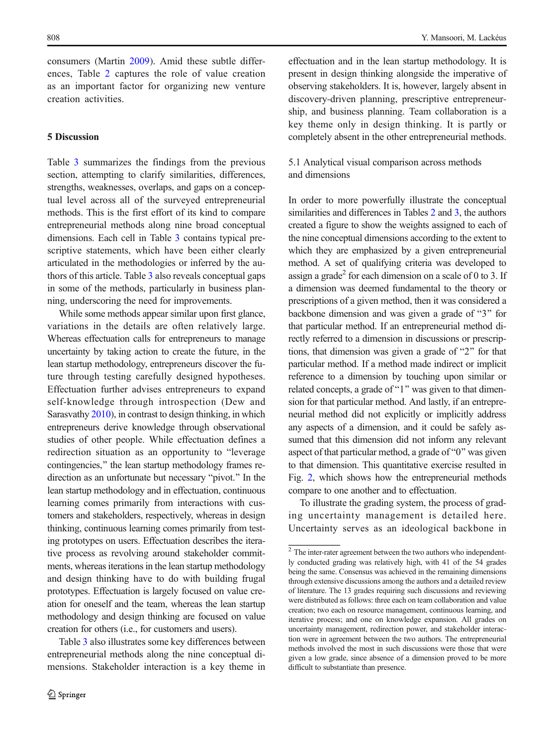consumers (Martin [2009\)](#page-25-0). Amid these subtle differences, Table [2](#page-10-0) captures the role of value creation as an important factor for organizing new venture creation activities.

#### 5 Discussion

Table [3](#page-16-0) summarizes the findings from the previous section, attempting to clarify similarities, differences, strengths, weaknesses, overlaps, and gaps on a conceptual level across all of the surveyed entrepreneurial methods. This is the first effort of its kind to compare entrepreneurial methods along nine broad conceptual dimensions. Each cell in Table [3](#page-16-0) contains typical prescriptive statements, which have been either clearly articulated in the methodologies or inferred by the authors of this article. Table [3](#page-16-0) also reveals conceptual gaps in some of the methods, particularly in business planning, underscoring the need for improvements.

While some methods appear similar upon first glance, variations in the details are often relatively large. Whereas effectuation calls for entrepreneurs to manage uncertainty by taking action to create the future, in the lean startup methodology, entrepreneurs discover the future through testing carefully designed hypotheses. Effectuation further advises entrepreneurs to expand self-knowledge through introspection (Dew and Sarasvathy [2010](#page-24-0)), in contrast to design thinking, in which entrepreneurs derive knowledge through observational studies of other people. While effectuation defines a redirection situation as an opportunity to "leverage contingencies," the lean startup methodology frames redirection as an unfortunate but necessary "pivot." In the lean startup methodology and in effectuation, continuous learning comes primarily from interactions with customers and stakeholders, respectively, whereas in design thinking, continuous learning comes primarily from testing prototypes on users. Effectuation describes the iterative process as revolving around stakeholder commitments, whereas iterations in the lean startup methodology and design thinking have to do with building frugal prototypes. Effectuation is largely focused on value creation for oneself and the team, whereas the lean startup methodology and design thinking are focused on value creation for others (i.e., for customers and users).

Table [3](#page-16-0) also illustrates some key differences between entrepreneurial methods along the nine conceptual dimensions. Stakeholder interaction is a key theme in effectuation and in the lean startup methodology. It is present in design thinking alongside the imperative of observing stakeholders. It is, however, largely absent in discovery-driven planning, prescriptive entrepreneurship, and business planning. Team collaboration is a key theme only in design thinking. It is partly or completely absent in the other entrepreneurial methods.

# 5.1 Analytical visual comparison across methods and dimensions

In order to more powerfully illustrate the conceptual similarities and differences in Tables [2](#page-10-0) and [3,](#page-16-0) the authors created a figure to show the weights assigned to each of the nine conceptual dimensions according to the extent to which they are emphasized by a given entrepreneurial method. A set of qualifying criteria was developed to assign a grade<sup>2</sup> for each dimension on a scale of 0 to 3. If a dimension was deemed fundamental to the theory or prescriptions of a given method, then it was considered a backbone dimension and was given a grade of " $3$ " for that particular method. If an entrepreneurial method directly referred to a dimension in discussions or prescriptions, that dimension was given a grade of " $2$ " for that particular method. If a method made indirect or implicit reference to a dimension by touching upon similar or related concepts, a grade of "1" was given to that dimension for that particular method. And lastly, if an entrepreneurial method did not explicitly or implicitly address any aspects of a dimension, and it could be safely assumed that this dimension did not inform any relevant aspect of that particular method, a grade of " $0$ " was given to that dimension. This quantitative exercise resulted in Fig. [2,](#page-19-0) which shows how the entrepreneurial methods compare to one another and to effectuation.

To illustrate the grading system, the process of grading uncertainty management is detailed here. Uncertainty serves as an ideological backbone in

 $^{\rm 2}$  The inter-rater agreement between the two authors who independently conducted grading was relatively high, with 41 of the 54 grades being the same. Consensus was achieved in the remaining dimensions through extensive discussions among the authors and a detailed review of literature. The 13 grades requiring such discussions and reviewing were distributed as follows: three each on team collaboration and value creation; two each on resource management, continuous learning, and iterative process; and one on knowledge expansion. All grades on uncertainty management, redirection power, and stakeholder interaction were in agreement between the two authors. The entrepreneurial methods involved the most in such discussions were those that were given a low grade, since absence of a dimension proved to be more difficult to substantiate than presence.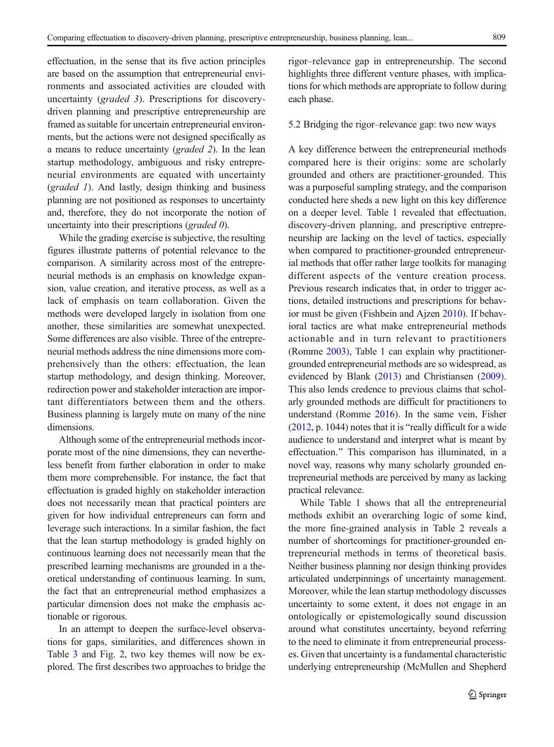effectuation, in the sense that its five action principles are based on the assumption that entrepreneurial environments and associated activities are clouded with uncertainty (graded 3). Prescriptions for discoverydriven planning and prescriptive entrepreneurship are framed as suitable for uncertain entrepreneurial environments, but the actions were not designed specifically as a means to reduce uncertainty (graded 2). In the lean startup methodology, ambiguous and risky entrepreneurial environments are equated with uncertainty (graded 1). And lastly, design thinking and business planning are not positioned as responses to uncertainty and, therefore, they do not incorporate the notion of uncertainty into their prescriptions (graded 0).

While the grading exercise is subjective, the resulting figures illustrate patterns of potential relevance to the comparison. A similarity across most of the entrepreneurial methods is an emphasis on knowledge expansion, value creation, and iterative process, as well as a lack of emphasis on team collaboration. Given the methods were developed largely in isolation from one another, these similarities are somewhat unexpected. Some differences are also visible. Three of the entrepreneurial methods address the nine dimensions more comprehensively than the others: effectuation, the lean startup methodology, and design thinking. Moreover, redirection power and stakeholder interaction are important differentiators between them and the others. Business planning is largely mute on many of the nine dimensions.

Although some of the entrepreneurial methods incorporate most of the nine dimensions, they can nevertheless benefit from further elaboration in order to make them more comprehensible. For instance, the fact that effectuation is graded highly on stakeholder interaction does not necessarily mean that practical pointers are given for how individual entrepreneurs can form and leverage such interactions. In a similar fashion, the fact that the lean startup methodology is graded highly on continuous learning does not necessarily mean that the prescribed learning mechanisms are grounded in a theoretical understanding of continuous learning. In sum, the fact that an entrepreneurial method emphasizes a particular dimension does not make the emphasis actionable or rigorous.

In an attempt to deepen the surface-level observations for gaps, similarities, and differences shown in Table [3](#page-16-0) and Fig. [2,](#page-19-0) two key themes will now be explored. The first describes two approaches to bridge the rigor–relevance gap in entrepreneurship. The second highlights three different venture phases, with implications for which methods are appropriate to follow during each phase.

# 5.2 Bridging the rigor–relevance gap: two new ways

A key difference between the entrepreneurial methods compared here is their origins: some are scholarly grounded and others are practitioner-grounded. This was a purposeful sampling strategy, and the comparison conducted here sheds a new light on this key difference on a deeper level. Table [1](#page-6-0) revealed that effectuation, discovery-driven planning, and prescriptive entrepreneurship are lacking on the level of tactics, especially when compared to practitioner-grounded entrepreneurial methods that offer rather large toolkits for managing different aspects of the venture creation process. Previous research indicates that, in order to trigger actions, detailed instructions and prescriptions for behavior must be given (Fishbein and Ajzen [2010\)](#page-24-0). If behavioral tactics are what make entrepreneurial methods actionable and in turn relevant to practitioners (Romme [2003\)](#page-26-0), Table [1](#page-6-0) can explain why practitionergrounded entrepreneurial methods are so widespread, as evidenced by Blank [\(2013](#page-23-0)) and Christiansen [\(2009\)](#page-24-0). This also lends credence to previous claims that scholarly grounded methods are difficult for practitioners to understand (Romme [2016](#page-26-0)). In the same vein, Fisher  $(2012, p. 1044)$  $(2012, p. 1044)$  notes that it is "really difficult for a wide audience to understand and interpret what is meant by effectuation.^ This comparison has illuminated, in a novel way, reasons why many scholarly grounded entrepreneurial methods are perceived by many as lacking practical relevance.

While Table [1](#page-6-0) shows that all the entrepreneurial methods exhibit an overarching logic of some kind, the more fine-grained analysis in Table [2](#page-10-0) reveals a number of shortcomings for practitioner-grounded entrepreneurial methods in terms of theoretical basis. Neither business planning nor design thinking provides articulated underpinnings of uncertainty management. Moreover, while the lean startup methodology discusses uncertainty to some extent, it does not engage in an ontologically or epistemologically sound discussion around what constitutes uncertainty, beyond referring to the need to eliminate it from entrepreneurial processes. Given that uncertainty is a fundamental characteristic underlying entrepreneurship (McMullen and Shepherd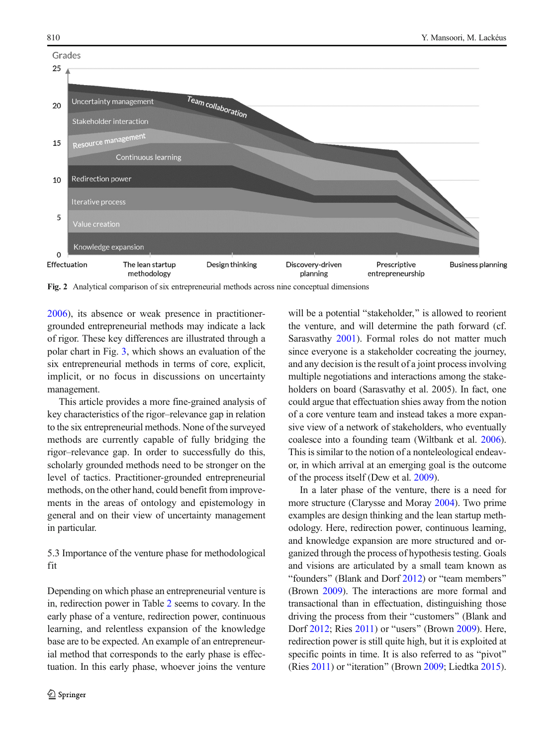<span id="page-19-0"></span>

Fig. 2 Analytical comparison of six entrepreneurial methods across nine conceptual dimensions

[2006\)](#page-25-0), its absence or weak presence in practitionergrounded entrepreneurial methods may indicate a lack of rigor. These key differences are illustrated through a polar chart in Fig. [3](#page-20-0), which shows an evaluation of the six entrepreneurial methods in terms of core, explicit, implicit, or no focus in discussions on uncertainty management.

This article provides a more fine-grained analysis of key characteristics of the rigor–relevance gap in relation to the six entrepreneurial methods. None of the surveyed methods are currently capable of fully bridging the rigor–relevance gap. In order to successfully do this, scholarly grounded methods need to be stronger on the level of tactics. Practitioner-grounded entrepreneurial methods, on the other hand, could benefit from improvements in the areas of ontology and epistemology in general and on their view of uncertainty management in particular.

# 5.3 Importance of the venture phase for methodological fit

Depending on which phase an entrepreneurial venture is in, redirection power in Table [2](#page-10-0) seems to covary. In the early phase of a venture, redirection power, continuous learning, and relentless expansion of the knowledge base are to be expected. An example of an entrepreneurial method that corresponds to the early phase is effectuation. In this early phase, whoever joins the venture will be a potential "stakeholder," is allowed to reorient the venture, and will determine the path forward (cf. Sarasvathy [2001](#page-26-0)). Formal roles do not matter much since everyone is a stakeholder cocreating the journey, and any decision is the result of a joint process involving multiple negotiations and interactions among the stakeholders on board (Sarasvathy et al. 2005). In fact, one could argue that effectuation shies away from the notion of a core venture team and instead takes a more expansive view of a network of stakeholders, who eventually coalesce into a founding team (Wiltbank et al. [2006\)](#page-27-0). This is similar to the notion of a nonteleological endeavor, in which arrival at an emerging goal is the outcome of the process itself (Dew et al. [2009\)](#page-24-0).

In a later phase of the venture, there is a need for more structure (Clarysse and Moray [2004](#page-24-0)). Two prime examples are design thinking and the lean startup methodology. Here, redirection power, continuous learning, and knowledge expansion are more structured and organized through the process of hypothesis testing. Goals and visions are articulated by a small team known as "founders" (Blank and Dorf [2012](#page-23-0)) or "team members" (Brown [2009](#page-24-0)). The interactions are more formal and transactional than in effectuation, distinguishing those driving the process from their "customers" (Blank and Dorf  $2012$ ; Ries  $2011$ ) or "users" (Brown  $2009$ ). Here, redirection power is still quite high, but it is exploited at specific points in time. It is also referred to as "pivot" (Ries  $2011$ ) or "iteration" (Brown [2009](#page-24-0); Liedtka [2015\)](#page-25-0).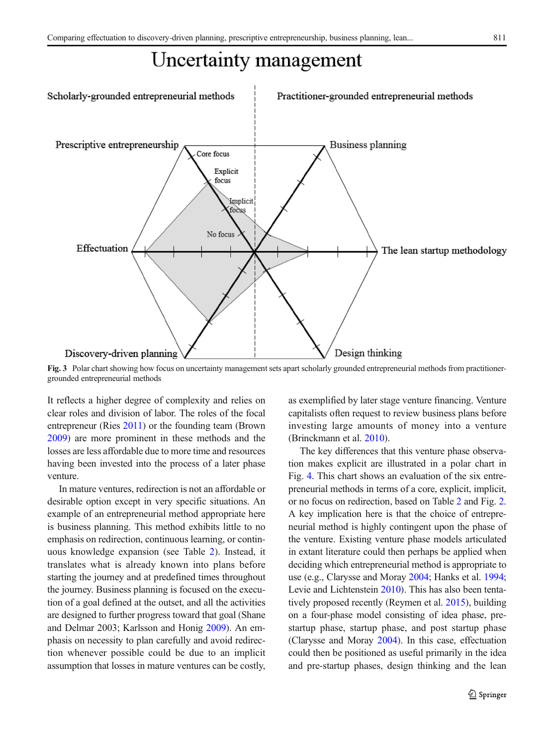# Uncertainty management

<span id="page-20-0"></span>

Fig. 3 Polar chart showing how focus on uncertainty management sets apart scholarly grounded entrepreneurial methods from practitionergrounded entrepreneurial methods

It reflects a higher degree of complexity and relies on clear roles and division of labor. The roles of the focal entrepreneur (Ries [2011\)](#page-26-0) or the founding team (Brown [2009\)](#page-24-0) are more prominent in these methods and the losses are less affordable due to more time and resources having been invested into the process of a later phase venture.

In mature ventures, redirection is not an affordable or desirable option except in very specific situations. An example of an entrepreneurial method appropriate here is business planning. This method exhibits little to no emphasis on redirection, continuous learning, or continuous knowledge expansion (see Table [2](#page-10-0)). Instead, it translates what is already known into plans before starting the journey and at predefined times throughout the journey. Business planning is focused on the execution of a goal defined at the outset, and all the activities are designed to further progress toward that goal (Shane and Delmar 2003; Karlsson and Honig [2009](#page-25-0)). An emphasis on necessity to plan carefully and avoid redirection whenever possible could be due to an implicit assumption that losses in mature ventures can be costly, as exemplified by later stage venture financing. Venture capitalists often request to review business plans before investing large amounts of money into a venture (Brinckmann et al. [2010\)](#page-23-0).

The key differences that this venture phase observation makes explicit are illustrated in a polar chart in Fig. [4](#page-22-0). This chart shows an evaluation of the six entrepreneurial methods in terms of a core, explicit, implicit, or no focus on redirection, based on Table [2](#page-10-0) and Fig. [2.](#page-19-0) A key implication here is that the choice of entrepreneurial method is highly contingent upon the phase of the venture. Existing venture phase models articulated in extant literature could then perhaps be applied when deciding which entrepreneurial method is appropriate to use (e.g., Clarysse and Moray [2004;](#page-24-0) Hanks et al. [1994;](#page-25-0) Levie and Lichtenstein [2010\)](#page-25-0). This has also been tentatively proposed recently (Reymen et al. [2015\)](#page-26-0), building on a four-phase model consisting of idea phase, prestartup phase, startup phase, and post startup phase (Clarysse and Moray [2004](#page-24-0)). In this case, effectuation could then be positioned as useful primarily in the idea and pre-startup phases, design thinking and the lean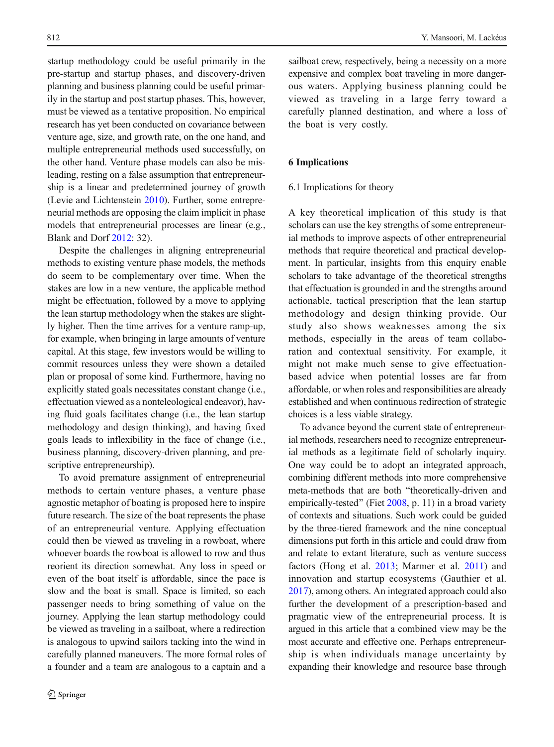startup methodology could be useful primarily in the pre-startup and startup phases, and discovery-driven planning and business planning could be useful primarily in the startup and post startup phases. This, however, must be viewed as a tentative proposition. No empirical research has yet been conducted on covariance between venture age, size, and growth rate, on the one hand, and multiple entrepreneurial methods used successfully, on the other hand. Venture phase models can also be misleading, resting on a false assumption that entrepreneurship is a linear and predetermined journey of growth (Levie and Lichtenstein [2010](#page-25-0)). Further, some entrepreneurial methods are opposing the claim implicit in phase models that entrepreneurial processes are linear (e.g., Blank and Dorf [2012:](#page-23-0) 32).

Despite the challenges in aligning entrepreneurial methods to existing venture phase models, the methods do seem to be complementary over time. When the stakes are low in a new venture, the applicable method might be effectuation, followed by a move to applying the lean startup methodology when the stakes are slightly higher. Then the time arrives for a venture ramp-up, for example, when bringing in large amounts of venture capital. At this stage, few investors would be willing to commit resources unless they were shown a detailed plan or proposal of some kind. Furthermore, having no explicitly stated goals necessitates constant change (i.e., effectuation viewed as a nonteleological endeavor), having fluid goals facilitates change (i.e., the lean startup methodology and design thinking), and having fixed goals leads to inflexibility in the face of change (i.e., business planning, discovery-driven planning, and prescriptive entrepreneurship).

To avoid premature assignment of entrepreneurial methods to certain venture phases, a venture phase agnostic metaphor of boating is proposed here to inspire future research. The size of the boat represents the phase of an entrepreneurial venture. Applying effectuation could then be viewed as traveling in a rowboat, where whoever boards the rowboat is allowed to row and thus reorient its direction somewhat. Any loss in speed or even of the boat itself is affordable, since the pace is slow and the boat is small. Space is limited, so each passenger needs to bring something of value on the journey. Applying the lean startup methodology could be viewed as traveling in a sailboat, where a redirection is analogous to upwind sailors tacking into the wind in carefully planned maneuvers. The more formal roles of a founder and a team are analogous to a captain and a

sailboat crew, respectively, being a necessity on a more expensive and complex boat traveling in more dangerous waters. Applying business planning could be viewed as traveling in a large ferry toward a carefully planned destination, and where a loss of the boat is very costly.

# 6 Implications

#### 6.1 Implications for theory

A key theoretical implication of this study is that scholars can use the key strengths of some entrepreneurial methods to improve aspects of other entrepreneurial methods that require theoretical and practical development. In particular, insights from this enquiry enable scholars to take advantage of the theoretical strengths that effectuation is grounded in and the strengths around actionable, tactical prescription that the lean startup methodology and design thinking provide. Our study also shows weaknesses among the six methods, especially in the areas of team collaboration and contextual sensitivity. For example, it might not make much sense to give effectuationbased advice when potential losses are far from affordable, or when roles and responsibilities are already established and when continuous redirection of strategic choices is a less viable strategy.

To advance beyond the current state of entrepreneurial methods, researchers need to recognize entrepreneurial methods as a legitimate field of scholarly inquiry. One way could be to adopt an integrated approach, combining different methods into more comprehensive meta-methods that are both "theoretically-driven and empirically-tested" (Fiet [2008,](#page-24-0) p. 11) in a broad variety of contexts and situations. Such work could be guided by the three-tiered framework and the nine conceptual dimensions put forth in this article and could draw from and relate to extant literature, such as venture success factors (Hong et al. [2013;](#page-25-0) Marmer et al. [2011](#page-25-0)) and innovation and startup ecosystems (Gauthier et al. [2017](#page-24-0)), among others. An integrated approach could also further the development of a prescription-based and pragmatic view of the entrepreneurial process. It is argued in this article that a combined view may be the most accurate and effective one. Perhaps entrepreneurship is when individuals manage uncertainty by expanding their knowledge and resource base through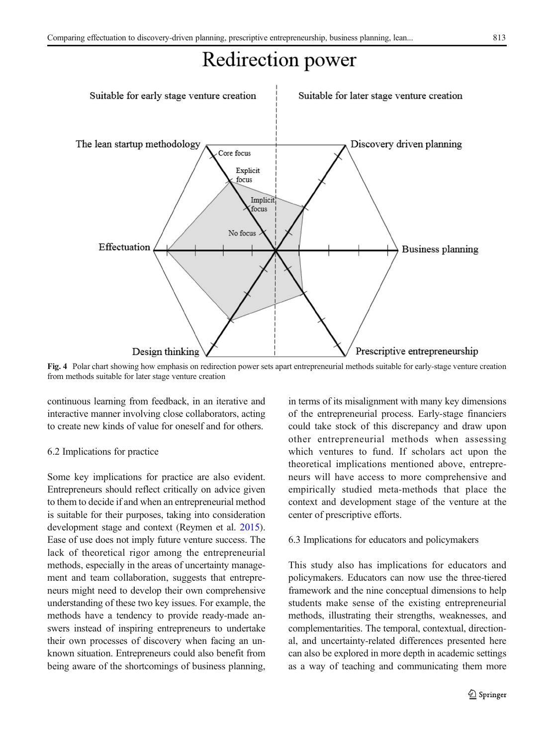# Redirection power

<span id="page-22-0"></span>

Fig. 4 Polar chart showing how emphasis on redirection power sets apart entrepreneurial methods suitable for early-stage venture creation from methods suitable for later stage venture creation

continuous learning from feedback, in an iterative and interactive manner involving close collaborators, acting to create new kinds of value for oneself and for others.

# 6.2 Implications for practice

Some key implications for practice are also evident. Entrepreneurs should reflect critically on advice given to them to decide if and when an entrepreneurial method is suitable for their purposes, taking into consideration development stage and context (Reymen et al. [2015\)](#page-26-0). Ease of use does not imply future venture success. The lack of theoretical rigor among the entrepreneurial methods, especially in the areas of uncertainty management and team collaboration, suggests that entrepreneurs might need to develop their own comprehensive understanding of these two key issues. For example, the methods have a tendency to provide ready-made answers instead of inspiring entrepreneurs to undertake their own processes of discovery when facing an unknown situation. Entrepreneurs could also benefit from being aware of the shortcomings of business planning,

in terms of its misalignment with many key dimensions of the entrepreneurial process. Early-stage financiers could take stock of this discrepancy and draw upon other entrepreneurial methods when assessing which ventures to fund. If scholars act upon the theoretical implications mentioned above, entrepreneurs will have access to more comprehensive and empirically studied meta-methods that place the context and development stage of the venture at the center of prescriptive efforts.

#### 6.3 Implications for educators and policymakers

This study also has implications for educators and policymakers. Educators can now use the three-tiered framework and the nine conceptual dimensions to help students make sense of the existing entrepreneurial methods, illustrating their strengths, weaknesses, and complementarities. The temporal, contextual, directional, and uncertainty-related differences presented here can also be explored in more depth in academic settings as a way of teaching and communicating them more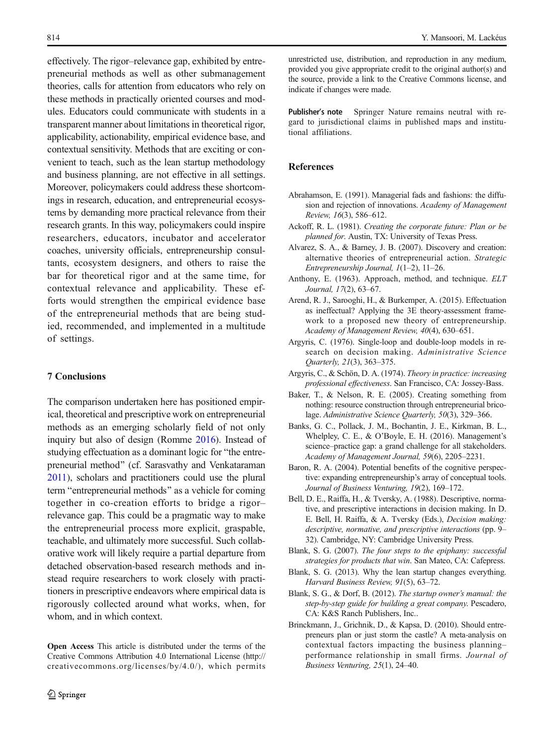<span id="page-23-0"></span>effectively. The rigor–relevance gap, exhibited by entrepreneurial methods as well as other submanagement theories, calls for attention from educators who rely on these methods in practically oriented courses and modules. Educators could communicate with students in a transparent manner about limitations in theoretical rigor, applicability, actionability, empirical evidence base, and contextual sensitivity. Methods that are exciting or convenient to teach, such as the lean startup methodology and business planning, are not effective in all settings. Moreover, policymakers could address these shortcomings in research, education, and entrepreneurial ecosystems by demanding more practical relevance from their research grants. In this way, policymakers could inspire researchers, educators, incubator and accelerator coaches, university officials, entrepreneurship consultants, ecosystem designers, and others to raise the bar for theoretical rigor and at the same time, for contextual relevance and applicability. These efforts would strengthen the empirical evidence base of the entrepreneurial methods that are being studied, recommended, and implemented in a multitude of settings.

# 7 Conclusions

The comparison undertaken here has positioned empirical, theoretical and prescriptive work on entrepreneurial methods as an emerging scholarly field of not only inquiry but also of design (Romme [2016\)](#page-26-0). Instead of studying effectuation as a dominant logic for "the entrepreneurial method" (cf. Sarasvathy and Venkataraman [2011](#page-26-0)), scholars and practitioners could use the plural term "entrepreneurial methods" as a vehicle for coming together in co-creation efforts to bridge a rigor– relevance gap. This could be a pragmatic way to make the entrepreneurial process more explicit, graspable, teachable, and ultimately more successful. Such collaborative work will likely require a partial departure from detached observation-based research methods and instead require researchers to work closely with practitioners in prescriptive endeavors where empirical data is rigorously collected around what works, when, for whom, and in which context.

Open Access This article is distributed under the terms of the Creative Commons Attribution 4.0 International License (http:// creativecommons.org/licenses/by/4.0/), which permits unrestricted use, distribution, and reproduction in any medium, provided you give appropriate credit to the original author(s) and the source, provide a link to the Creative Commons license, and indicate if changes were made.

Publisher's note Springer Nature remains neutral with regard to jurisdictional claims in published maps and institutional affiliations.

# References

- Abrahamson, E. (1991). Managerial fads and fashions: the diffusion and rejection of innovations. Academy of Management Review, 16(3), 586–612.
- Ackoff, R. L. (1981). Creating the corporate future: Plan or be planned for. Austin, TX: University of Texas Press.
- Alvarez, S. A., & Barney, J. B. (2007). Discovery and creation: alternative theories of entrepreneurial action. Strategic Entrepreneurship Journal, 1(1–2), 11–26.
- Anthony, E. (1963). Approach, method, and technique. ELT Journal, 17(2), 63–67.
- Arend, R. J., Sarooghi, H., & Burkemper, A. (2015). Effectuation as ineffectual? Applying the 3E theory-assessment framework to a proposed new theory of entrepreneurship. Academy of Management Review, 40(4), 630–651.
- Argyris, C. (1976). Single-loop and double-loop models in research on decision making. Administrative Science Quarterly, 21(3), 363–375.
- Argyris, C., & Schön, D. A. (1974). Theory in practice: increasing professional effectiveness. San Francisco, CA: Jossey-Bass.
- Baker, T., & Nelson, R. E. (2005). Creating something from nothing: resource construction through entrepreneurial bricolage. Administrative Science Quarterly, 50(3), 329–366.
- Banks, G. C., Pollack, J. M., Bochantin, J. E., Kirkman, B. L., Whelpley, C. E., & O'Boyle, E. H. (2016). Management's science–practice gap: a grand challenge for all stakeholders. Academy of Management Journal, 59(6), 2205–2231.
- Baron, R. A. (2004). Potential benefits of the cognitive perspective: expanding entrepreneurship's array of conceptual tools. Journal of Business Venturing, 19(2), 169–172.
- Bell, D. E., Raiffa, H., & Tversky, A. (1988). Descriptive, normative, and prescriptive interactions in decision making. In D. E. Bell, H. Raiffa, & A. Tversky (Eds.), Decision making: descriptive, normative, and prescriptive interactions (pp. 9– 32). Cambridge, NY: Cambridge University Press.
- Blank, S. G. (2007). The four steps to the epiphany: successful strategies for products that win. San Mateo, CA: Cafepress.
- Blank, S. G. (2013). Why the lean startup changes everything. Harvard Business Review, 91(5), 63–72.
- Blank, S. G., & Dorf, B. (2012). The startup owner's manual: the step-by-step guide for building a great company. Pescadero, CA: K&S Ranch Publishers, Inc..
- Brinckmann, J., Grichnik, D., & Kapsa, D. (2010). Should entrepreneurs plan or just storm the castle? A meta-analysis on contextual factors impacting the business planning– performance relationship in small firms. Journal of Business Venturing, 25(1), 24–40.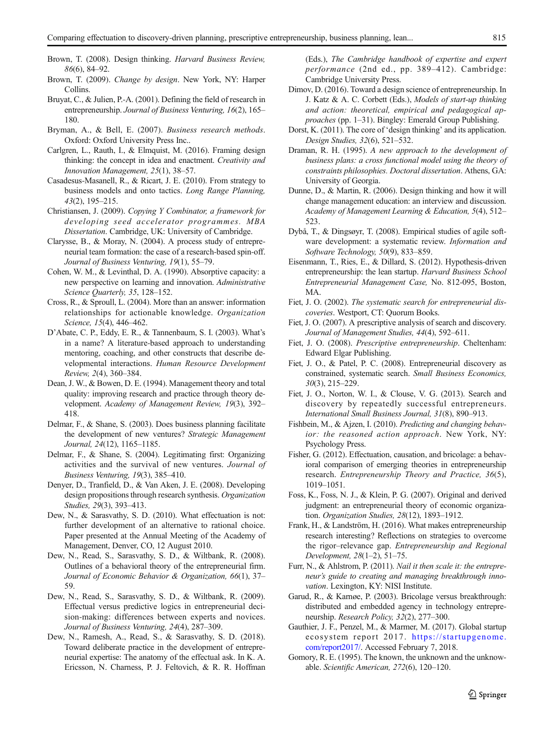- <span id="page-24-0"></span>Brown, T. (2008). Design thinking. Harvard Business Review, 86(6), 84–92.
- Brown, T. (2009). Change by design. New York, NY: Harper Collins.
- Bruyat, C., & Julien, P.-A. (2001). Defining the field of research in entrepreneurship. Journal of Business Venturing, 16(2), 165– 180.
- Bryman, A., & Bell, E. (2007). Business research methods. Oxford: Oxford University Press Inc..
- Carlgren, L., Rauth, I., & Elmquist, M. (2016). Framing design thinking: the concept in idea and enactment. Creativity and Innovation Management, 25(1), 38–57.
- Casadesus-Masanell, R., & Ricart, J. E. (2010). From strategy to business models and onto tactics. Long Range Planning, 43(2), 195–215.
- Christiansen, J. (2009). Copying Y Combinator, a framework for developing seed accelerator programmes. MBA Dissertation. Cambridge, UK: University of Cambridge.
- Clarysse, B., & Moray, N. (2004). A process study of entrepreneurial team formation: the case of a research-based spin-off. Journal of Business Venturing, 19(1), 55–79.
- Cohen, W. M., & Levinthal, D. A. (1990). Absorptive capacity: a new perspective on learning and innovation. Administrative Science Quarterly, 35, 128-152.
- Cross, R., & Sproull, L. (2004). More than an answer: information relationships for actionable knowledge. Organization Science, 15(4), 446–462.
- D'Abate, C. P., Eddy, E. R., & Tannenbaum, S. I. (2003). What's in a name? A literature-based approach to understanding mentoring, coaching, and other constructs that describe developmental interactions. Human Resource Development Review, 2(4), 360–384.
- Dean, J. W., & Bowen, D. E. (1994). Management theory and total quality: improving research and practice through theory development. Academy of Management Review, 19(3), 392– 418.
- Delmar, F., & Shane, S. (2003). Does business planning facilitate the development of new ventures? Strategic Management Journal, 24(12), 1165–1185.
- Delmar, F., & Shane, S. (2004). Legitimating first: Organizing activities and the survival of new ventures. Journal of Business Venturing, 19(3), 385–410.
- Denyer, D., Tranfield, D., & Van Aken, J. E. (2008). Developing design propositions through research synthesis. Organization Studies, 29(3), 393–413.
- Dew, N., & Sarasvathy, S. D. (2010). What effectuation is not: further development of an alternative to rational choice. Paper presented at the Annual Meeting of the Academy of Management, Denver, CO, 12 August 2010.
- Dew, N., Read, S., Sarasvathy, S. D., & Wiltbank, R. (2008). Outlines of a behavioral theory of the entrepreneurial firm. Journal of Economic Behavior & Organization, 66(1), 37– 59.
- Dew, N., Read, S., Sarasvathy, S. D., & Wiltbank, R. (2009). Effectual versus predictive logics in entrepreneurial decision-making: differences between experts and novices. Journal of Business Venturing, 24(4), 287–309.
- Dew, N., Ramesh, A., Read, S., & Sarasvathy, S. D. (2018). Toward deliberate practice in the development of entrepreneurial expertise: The anatomy of the effectual ask. In K. A. Ericsson, N. Charness, P. J. Feltovich, & R. R. Hoffman

(Eds.), The Cambridge handbook of expertise and expert performance (2nd ed., pp. 389–412). Cambridge: Cambridge University Press.

- Dimov, D. (2016). Toward a design science of entrepreneurship. In J. Katz & A. C. Corbett (Eds.), Models of start-up thinking and action: theoretical, empirical and pedagogical approaches (pp. 1–31). Bingley: Emerald Group Publishing.
- Dorst, K. (2011). The core of 'design thinking' and its application. Design Studies, 32(6), 521–532.
- Draman, R. H. (1995). A new approach to the development of business plans: a cross functional model using the theory of constraints philosophies. Doctoral dissertation. Athens, GA: University of Georgia.
- Dunne, D., & Martin, R. (2006). Design thinking and how it will change management education: an interview and discussion. Academy of Management Learning & Education, 5(4), 512– 523.
- Dybå, T., & Dingsøyr, T. (2008). Empirical studies of agile software development: a systematic review. Information and Software Technology, 50(9), 833–859.
- Eisenmann, T., Ries, E., & Dillard, S. (2012). Hypothesis-driven entrepreneurship: the lean startup. Harvard Business School Entrepreneurial Management Case, No. 812-095, Boston, MA.
- Fiet, J. O. (2002). The systematic search for entrepreneurial discoveries. Westport, CT: Quorum Books.
- Fiet, J. O. (2007). A prescriptive analysis of search and discovery. Journal of Management Studies, 44(4), 592–611.
- Fiet, J. O. (2008). Prescriptive entrepreneurship. Cheltenham: Edward Elgar Publishing.
- Fiet, J. O., & Patel, P. C. (2008). Entrepreneurial discovery as constrained, systematic search. Small Business Economics, 30(3), 215–229.
- Fiet, J. O., Norton, W. I., & Clouse, V. G. (2013). Search and discovery by repeatedly successful entrepreneurs. International Small Business Journal, 31(8), 890–913.
- Fishbein, M., & Ajzen, I. (2010). Predicting and changing behavior: the reasoned action approach. New York, NY: Psychology Press.
- Fisher, G. (2012). Effectuation, causation, and bricolage: a behavioral comparison of emerging theories in entrepreneurship research. Entrepreneurship Theory and Practice, 36(5), 1019–1051.
- Foss, K., Foss, N. J., & Klein, P. G. (2007). Original and derived judgment: an entrepreneurial theory of economic organization. Organization Studies, 28(12), 1893–1912.
- Frank, H., & Landström, H. (2016). What makes entrepreneurship research interesting? Reflections on strategies to overcome the rigor–relevance gap. Entrepreneurship and Regional Development, 28(1–2), 51–75.
- Furr, N., & Ahlstrom, P. (2011). Nail it then scale it: the entrepreneur's guide to creating and managing breakthrough innovation. Lexington, KY: NISI Institute.
- Garud, R., & Karnøe, P. (2003). Bricolage versus breakthrough: distributed and embedded agency in technology entrepreneurship. Research Policy, 32(2), 277–300.
- Gauthier, J. F., Penzel, M., & Marmer, M. (2017). Global startup ecosystem report 2017. [https://startupgenome.](https://startupgenome.com/report2017/) [com/report2017/](https://startupgenome.com/report2017/). Accessed February 7, 2018.
- Gomory, R. E. (1995). The known, the unknown and the unknowable. Scientific American, 272(6), 120–120.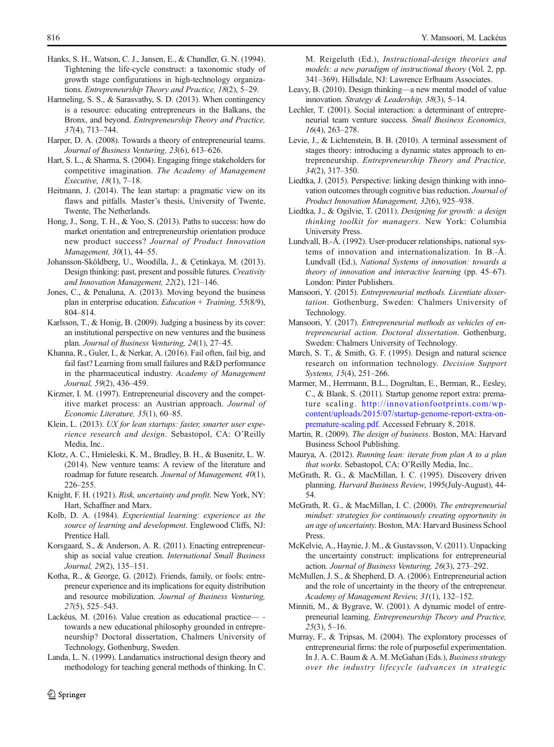- <span id="page-25-0"></span>Hanks, S. H., Watson, C. J., Jansen, E., & Chandler, G. N. (1994). Tightening the life-cycle construct: a taxonomic study of growth stage configurations in high-technology organizations. Entrepreneurship Theory and Practice, 18(2), 5–29.
- Harmeling, S. S., & Sarasvathy, S. D. (2013). When contingency is a resource: educating entrepreneurs in the Balkans, the Bronx, and beyond. Entrepreneurship Theory and Practice, 37(4), 713–744.
- Harper, D. A. (2008). Towards a theory of entrepreneurial teams. Journal of Business Venturing, 23(6), 613–626.
- Hart, S. L., & Sharma, S. (2004). Engaging fringe stakeholders for competitive imagination. The Academy of Management Executive, 18(1), 7–18.
- Heitmann, J. (2014). The lean startup: a pragmatic view on its flaws and pitfalls. Master's thesis, University of Twente, Twente, The Netherlands.
- Hong, J., Song, T. H., & Yoo, S. (2013). Paths to success: how do market orientation and entrepreneurship orientation produce new product success? Journal of Product Innovation Management, 30(1), 44–55.
- Johansson-Sköldberg, U., Woodilla, J., & Çetinkaya, M. (2013). Design thinking: past, present and possible futures. Creativity and Innovation Management, 22(2), 121–146.
- Jones, C., & Penaluna, A. (2013). Moving beyond the business plan in enterprise education. Education + Training, 55(8/9), 804–814.
- Karlsson, T., & Honig, B. (2009). Judging a business by its cover: an institutional perspective on new ventures and the business plan. Journal of Business Venturing, 24(1), 27–45.
- Khanna, R., Guler, I., & Nerkar, A. (2016). Fail often, fail big, and fail fast? Learning from small failures and R&D performance in the pharmaceutical industry. Academy of Management Journal, 59(2), 436–459.
- Kirzner, I. M. (1997). Entrepreneurial discovery and the competitive market process: an Austrian approach. Journal of Economic Literature, 35(1), 60–85.
- Klein, L. (2013). UX for lean startups: faster, smarter user experience research and design. Sebastopol, CA: O'Reilly Media, Inc..
- Klotz, A. C., Hmieleski, K. M., Bradley, B. H., & Busenitz, L. W. (2014). New venture teams: A review of the literature and roadmap for future research. Journal of Management, 40(1), 226–255.
- Knight, F. H. (1921). Risk, uncertainty and profit. New York, NY: Hart, Schaffner and Marx.
- Kolb, D. A. (1984). Experiential learning: experience as the source of learning and development. Englewood Cliffs, NJ: Prentice Hall.
- Korsgaard, S., & Anderson, A. R. (2011). Enacting entrepreneurship as social value creation. International Small Business Journal, 29(2), 135–151.
- Kotha, R., & George, G. (2012). Friends, family, or fools: entrepreneur experience and its implications for equity distribution and resource mobilization. Journal of Business Venturing, 27(5), 525–543.
- Lackéus, M. (2016). Value creation as educational practicetowards a new educational philosophy grounded in entrepreneurship? Doctoral dissertation, Chalmers University of Technology, Gothenburg, Sweden.
- Landa, L. N. (1999). Landamatics instructional design theory and methodology for teaching general methods of thinking. In C.

 $\textcircled{2}$  Springer

M. Reigeluth (Ed.), Instructional-design theories and models: a new paradigm of instructional theory (Vol. 2, pp. 341–369). Hillsdale, NJ: Lawrence Erlbaum Associates.

- Leavy, B. (2010). Design thinking—a new mental model of value innovation. Strategy & Leadership, 38(3), 5–14.
- Lechler, T. (2001). Social interaction: a determinant of entrepreneurial team venture success. Small Business Economics, 16(4), 263–278.
- Levie, J., & Lichtenstein, B. B. (2010). A terminal assessment of stages theory: introducing a dynamic states approach to entrepreneurship. Entrepreneurship Theory and Practice, 34(2), 317–350.
- Liedtka, J. (2015). Perspective: linking design thinking with innovation outcomes through cognitive bias reduction. Journal of Product Innovation Management, 32(6), 925–938.
- Liedtka, J., & Ogilvie, T. (2011). Designing for growth: a design thinking toolkit for managers. New York: Columbia University Press.
- Lundvall, B.-Å. (1992). User-producer relationships, national systems of innovation and internationalization. In B.-Å. Lundvall (Ed.), National Systems of innovation: towards a theory of innovation and interactive learning (pp. 45–67). London: Pinter Publishers.
- Mansoori, Y. (2015). Entrepreneurial methods. Licentiate dissertation. Gothenburg, Sweden: Chalmers University of Technology.
- Mansoori, Y. (2017). Entrepreneurial methods as vehicles of entrepreneurial action. Doctoral dissertation. Gothenburg, Sweden: Chalmers University of Technology.
- March, S. T., & Smith, G. F. (1995). Design and natural science research on information technology. Decision Support Systems, 15(4), 251–266.
- Marmer, M., Herrmann, B.L., Dogrultan, E., Berman, R., Eesley, C., & Blank, S. (2011). Startup genome report extra: premature scaling. [http://innovationfootprints.com/wp](http://innovationfootprints.com/wp-content/uploads/2015/07/startup-genome-report-extra-on-premature-scaling.pdf)[content/uploads/2015/07/startup-genome-report-extra-on](http://innovationfootprints.com/wp-content/uploads/2015/07/startup-genome-report-extra-on-premature-scaling.pdf)[premature-scaling.pdf](http://innovationfootprints.com/wp-content/uploads/2015/07/startup-genome-report-extra-on-premature-scaling.pdf). Accessed February 8, 2018.
- Martin, R. (2009). The design of business. Boston, MA: Harvard Business School Publishing.
- Maurya, A. (2012). Running lean: iterate from plan A to a plan that works. Sebastopol, CA: O'Reilly Media, Inc..
- McGrath, R. G., & MacMillan, I. C. (1995). Discovery driven planning. Harvard Business Review, 1995(July-August), 44- 54.
- McGrath, R. G., & MacMillan, I. C. (2000). The entrepreneurial mindset: strategies for continuously creating opportunity in an age of uncertainty. Boston, MA: Harvard Business School Press.
- McKelvie, A., Haynie, J. M., & Gustavsson, V. (2011). Unpacking the uncertainty construct: implications for entrepreneurial action. Journal of Business Venturing, 26(3), 273–292.
- McMullen, J. S., & Shepherd, D. A. (2006). Entrepreneurial action and the role of uncertainty in the theory of the entrepreneur. Academy of Management Review, 31(1), 132–152.
- Minniti, M., & Bygrave, W. (2001). A dynamic model of entrepreneurial learning. Entrepreneurship Theory and Practice,  $25(3)$ , 5–16.
- Murray, F., & Tripsas, M. (2004). The exploratory processes of entrepreneurial firms: the role of purposeful experimentation. In J. A. C. Baum & A. M. McGahan (Eds.), Business strategy over the industry lifecycle (advances in strategic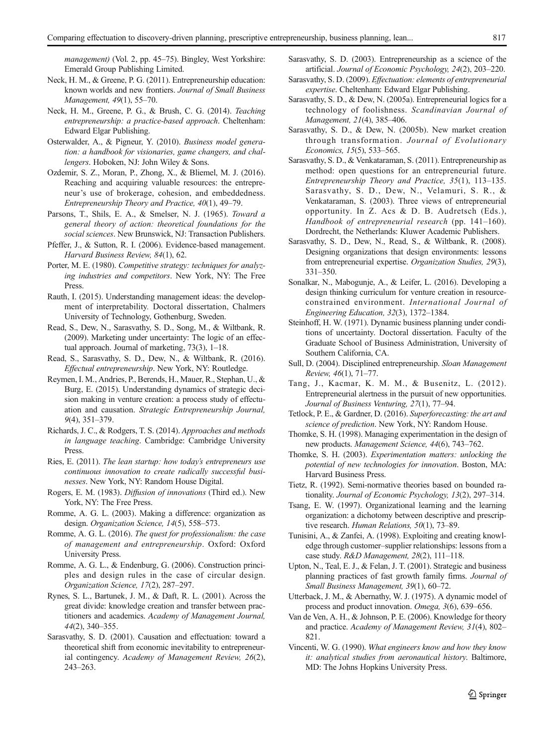<span id="page-26-0"></span>management) (Vol. 2, pp. 45–75). Bingley, West Yorkshire: Emerald Group Publishing Limited.

- Neck, H. M., & Greene, P. G. (2011). Entrepreneurship education: known worlds and new frontiers. Journal of Small Business Management, 49(1), 55–70.
- Neck, H. M., Greene, P. G., & Brush, C. G. (2014). Teaching entrepreneurship: a practice-based approach. Cheltenham: Edward Elgar Publishing.
- Osterwalder, A., & Pigneur, Y. (2010). Business model generation: a handbook for visionaries, game changers, and challengers. Hoboken, NJ: John Wiley & Sons.
- Ozdemir, S. Z., Moran, P., Zhong, X., & Bliemel, M. J. (2016). Reaching and acquiring valuable resources: the entrepreneur's use of brokerage, cohesion, and embeddedness. Entrepreneurship Theory and Practice, 40(1), 49–79.
- Parsons, T., Shils, E. A., & Smelser, N. J. (1965). Toward a general theory of action: theoretical foundations for the social sciences. New Brunswick, NJ: Transaction Publishers.
- Pfeffer, J., & Sutton, R. I. (2006). Evidence-based management. Harvard Business Review, 84(1), 62.
- Porter, M. E. (1980). Competitive strategy: techniques for analyzing industries and competitors. New York, NY: The Free Press.
- Rauth, I. (2015). Understanding management ideas: the development of interpretability. Doctoral dissertation, Chalmers University of Technology, Gothenburg, Sweden.
- Read, S., Dew, N., Sarasvathy, S. D., Song, M., & Wiltbank, R. (2009). Marketing under uncertainty: The logic of an effectual approach. Journal of marketing, 73(3), 1–18.
- Read, S., Sarasvathy, S. D., Dew, N., & Wiltbank, R. (2016). Effectual entrepreneurship. New York, NY: Routledge.
- Reymen, I. M., Andries, P., Berends, H., Mauer, R., Stephan, U., & Burg, E. (2015). Understanding dynamics of strategic decision making in venture creation: a process study of effectuation and causation. Strategic Entrepreneurship Journal, 9(4), 351–379.
- Richards, J. C., & Rodgers, T. S. (2014). Approaches and methods in language teaching. Cambridge: Cambridge University **Press**.
- Ries, E. (2011). The lean startup: how today's entrepreneurs use continuous innovation to create radically successful businesses. New York, NY: Random House Digital.
- Rogers, E. M. (1983). Diffusion of innovations (Third ed.). New York, NY: The Free Press.
- Romme, A. G. L. (2003). Making a difference: organization as design. Organization Science, 14(5), 558–573.
- Romme, A. G. L. (2016). The quest for professionalism: the case of management and entrepreneurship. Oxford: Oxford University Press.
- Romme, A. G. L., & Endenburg, G. (2006). Construction principles and design rules in the case of circular design. Organization Science, 17(2), 287–297.
- Rynes, S. L., Bartunek, J. M., & Daft, R. L. (2001). Across the great divide: knowledge creation and transfer between practitioners and academics. Academy of Management Journal, 44(2), 340–355.
- Sarasvathy, S. D. (2001). Causation and effectuation: toward a theoretical shift from economic inevitability to entrepreneurial contingency. Academy of Management Review, 26(2), 243–263.
- Sarasvathy, S. D. (2003). Entrepreneurship as a science of the artificial. Journal of Economic Psychology, 24(2), 203–220.
- Sarasvathy, S. D. (2009). Effectuation: elements of entrepreneurial expertise. Cheltenham: Edward Elgar Publishing.
- Sarasvathy, S. D., & Dew, N. (2005a). Entrepreneurial logics for a technology of foolishness. Scandinavian Journal of Management, 21(4), 385–406.
- Sarasvathy, S. D., & Dew, N. (2005b). New market creation through transformation. Journal of Evolutionary Economics, 15(5), 533–565.
- Sarasvathy, S. D., & Venkataraman, S. (2011). Entrepreneurship as method: open questions for an entrepreneurial future. Entrepreneurship Theory and Practice, 35(1), 113–135. Sarasvathy, S. D., Dew, N., Velamuri, S. R., & Venkataraman, S. (2003). Three views of entrepreneurial opportunity. In Z. Acs & D. B. Audretsch (Eds.), Handbook of entrepreneurial research (pp. 141–160). Dordrecht, the Netherlands: Kluwer Academic Publishers.
- Sarasvathy, S. D., Dew, N., Read, S., & Wiltbank, R. (2008). Designing organizations that design environments: lessons from entrepreneurial expertise. Organization Studies, 29(3), 331–350.
- Sonalkar, N., Mabogunje, A., & Leifer, L. (2016). Developing a design thinking curriculum for venture creation in resourceconstrained environment. International Journal of Engineering Education, 32(3), 1372–1384.
- Steinhoff, H. W. (1971). Dynamic business planning under conditions of uncertainty. Doctoral dissertation. Faculty of the Graduate School of Business Administration, University of Southern California, CA.
- Sull, D. (2004). Disciplined entrepreneurship. Sloan Management Review, 46(1), 71–77.
- Tang, J., Kacmar, K. M. M., & Busenitz, L. (2012). Entrepreneurial alertness in the pursuit of new opportunities. Journal of Business Venturing, 27(1), 77–94.
- Tetlock, P. E., & Gardner, D. (2016). Superforecasting: the art and science of prediction. New York, NY: Random House.
- Thomke, S. H. (1998). Managing experimentation in the design of new products. Management Science, 44(6), 743–762.
- Thomke, S. H. (2003). Experimentation matters: unlocking the potential of new technologies for innovation. Boston, MA: Harvard Business Press.
- Tietz, R. (1992). Semi-normative theories based on bounded rationality. Journal of Economic Psychology, 13(2), 297–314.
- Tsang, E. W. (1997). Organizational learning and the learning organization: a dichotomy between descriptive and prescriptive research. Human Relations, 50(1), 73–89.
- Tunisini, A., & Zanfei, A. (1998). Exploiting and creating knowledge through customer–supplier relationships: lessons from a case study. R&D Management, 28(2), 111–118.
- Upton, N., Teal, E. J., & Felan, J. T. (2001). Strategic and business planning practices of fast growth family firms. Journal of Small Business Management, 39(1), 60–72.
- Utterback, J. M., & Abernathy, W. J. (1975). A dynamic model of process and product innovation. Omega, 3(6), 639–656.
- Van de Ven, A. H., & Johnson, P. E. (2006). Knowledge for theory and practice. Academy of Management Review, 31(4), 802– 821.
- Vincenti, W. G. (1990). What engineers know and how they know it: analytical studies from aeronautical history. Baltimore, MD: The Johns Hopkins University Press.